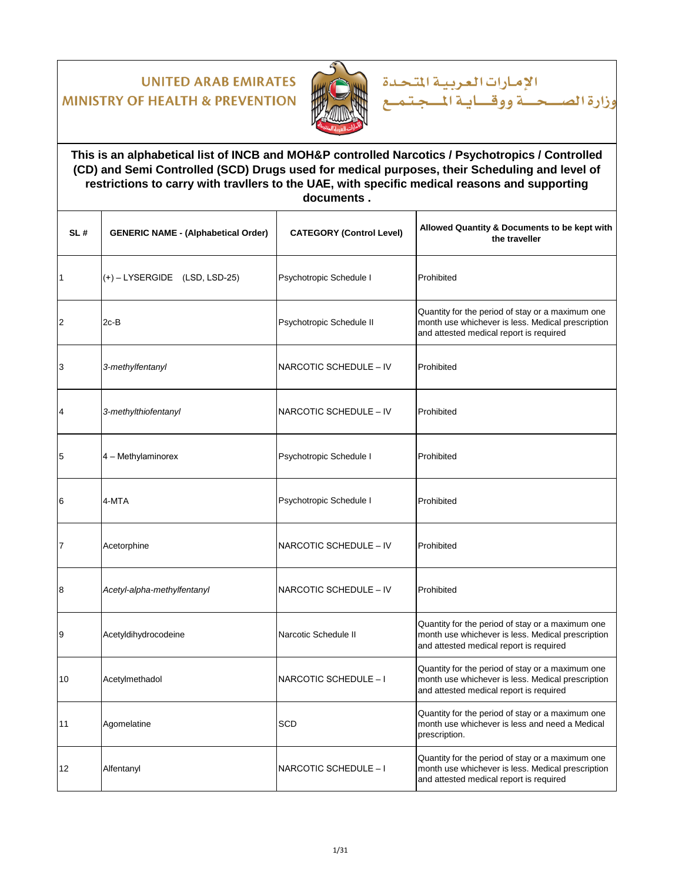

الإمارات العربية المتحدة حسة ووقساية المسجة وزارة الص

#### **This is an alphabetical list of INCB and MOH&P controlled Narcotics / Psychotropics / Controlled (CD) and Semi Controlled (SCD) Drugs used for medical purposes, their Scheduling and level of restrictions to carry with travllers to the UAE, with specific medical reasons and supporting documents .**

| SL#            | <b>GENERIC NAME - (Alphabetical Order)</b> | <b>CATEGORY (Control Level)</b> | Allowed Quantity & Documents to be kept with<br>the traveller                                                                                    |
|----------------|--------------------------------------------|---------------------------------|--------------------------------------------------------------------------------------------------------------------------------------------------|
| 1              | $(+)$ – LYSERGIDE (LSD, LSD-25)            | Psychotropic Schedule I         | Prohibited                                                                                                                                       |
| $\overline{2}$ | $2c-B$                                     | Psychotropic Schedule II        | Quantity for the period of stay or a maximum one<br>month use whichever is less. Medical prescription<br>and attested medical report is required |
| 3              | 3-methylfentanyl                           | NARCOTIC SCHEDULE - IV          | Prohibited                                                                                                                                       |
| 4              | 3-methylthiofentanyl                       | NARCOTIC SCHEDULE - IV          | Prohibited                                                                                                                                       |
| 5              | 4 - Methylaminorex                         | Psychotropic Schedule I         | Prohibited                                                                                                                                       |
| 6              | 4-MTA                                      | Psychotropic Schedule I         | Prohibited                                                                                                                                       |
| $\overline{7}$ | Acetorphine                                | NARCOTIC SCHEDULE - IV          | Prohibited                                                                                                                                       |
| 8              | Acetyl-alpha-methylfentanyl                | NARCOTIC SCHEDULE - IV          | Prohibited                                                                                                                                       |
| 9              | Acetyldihydrocodeine                       | Narcotic Schedule II            | Quantity for the period of stay or a maximum one<br>month use whichever is less. Medical prescription<br>and attested medical report is required |
| 10             | Acetylmethadol                             | NARCOTIC SCHEDULE - I           | Quantity for the period of stay or a maximum one<br>month use whichever is less. Medical prescription<br>and attested medical report is required |
| 11             | Agomelatine                                | <b>SCD</b>                      | Quantity for the period of stay or a maximum one<br>month use whichever is less and need a Medical<br>prescription.                              |
| 12             | Alfentanyl                                 | NARCOTIC SCHEDULE - I           | Quantity for the period of stay or a maximum one<br>month use whichever is less. Medical prescription<br>and attested medical report is required |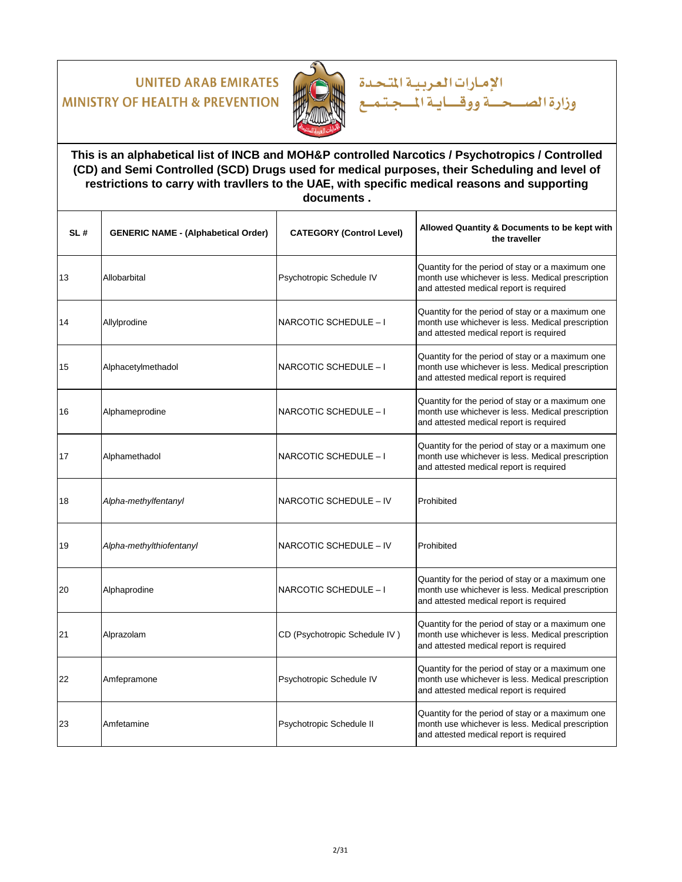

**This is an alphabetical list of INCB and MOH&P controlled Narcotics / Psychotropics / Controlled (CD) and Semi Controlled (SCD) Drugs used for medical purposes, their Scheduling and level of restrictions to carry with travllers to the UAE, with specific medical reasons and supporting documents .**

الإمارات العربية المتحدة

| SL# | <b>GENERIC NAME - (Alphabetical Order)</b> | <b>CATEGORY (Control Level)</b> | Allowed Quantity & Documents to be kept with<br>the traveller                                                                                    |
|-----|--------------------------------------------|---------------------------------|--------------------------------------------------------------------------------------------------------------------------------------------------|
| 13  | Allobarbital                               | Psychotropic Schedule IV        | Quantity for the period of stay or a maximum one<br>month use whichever is less. Medical prescription<br>and attested medical report is required |
| 14  | Allylprodine                               | NARCOTIC SCHEDULE - I           | Quantity for the period of stay or a maximum one<br>month use whichever is less. Medical prescription<br>and attested medical report is required |
| 15  | Alphacetylmethadol                         | NARCOTIC SCHEDULE - I           | Quantity for the period of stay or a maximum one<br>month use whichever is less. Medical prescription<br>and attested medical report is required |
| 16  | Alphameprodine                             | NARCOTIC SCHEDULE - I           | Quantity for the period of stay or a maximum one<br>month use whichever is less. Medical prescription<br>and attested medical report is required |
| 17  | Alphamethadol                              | NARCOTIC SCHEDULE - I           | Quantity for the period of stay or a maximum one<br>month use whichever is less. Medical prescription<br>and attested medical report is required |
| 18  | Alpha-methylfentanyl                       | NARCOTIC SCHEDULE - IV          | Prohibited                                                                                                                                       |
| 19  | Alpha-methylthiofentanyl                   | NARCOTIC SCHEDULE - IV          | Prohibited                                                                                                                                       |
| 20  | Alphaprodine                               | NARCOTIC SCHEDULE - I           | Quantity for the period of stay or a maximum one<br>month use whichever is less. Medical prescription<br>and attested medical report is required |
| 21  | Alprazolam                                 | CD (Psychotropic Schedule IV)   | Quantity for the period of stay or a maximum one<br>month use whichever is less. Medical prescription<br>and attested medical report is required |
| 22  | Amfepramone                                | Psychotropic Schedule IV        | Quantity for the period of stay or a maximum one<br>month use whichever is less. Medical prescription<br>and attested medical report is required |
| 23  | Amfetamine                                 | Psychotropic Schedule II        | Quantity for the period of stay or a maximum one<br>month use whichever is less. Medical prescription<br>and attested medical report is required |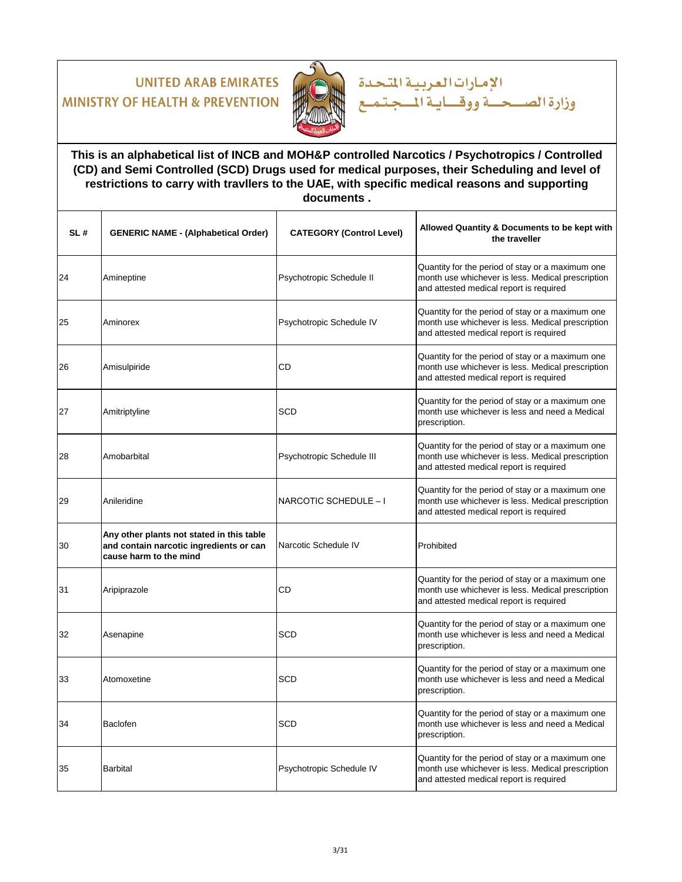

**This is an alphabetical list of INCB and MOH&P controlled Narcotics / Psychotropics / Controlled (CD) and Semi Controlled (SCD) Drugs used for medical purposes, their Scheduling and level of restrictions to carry with travllers to the UAE, with specific medical reasons and supporting documents .**

الإمارات العربية المتحدة

| SL# | <b>GENERIC NAME - (Alphabetical Order)</b>                                                                     | <b>CATEGORY (Control Level)</b> | Allowed Quantity & Documents to be kept with<br>the traveller                                                                                    |
|-----|----------------------------------------------------------------------------------------------------------------|---------------------------------|--------------------------------------------------------------------------------------------------------------------------------------------------|
| 24  | Amineptine                                                                                                     | Psychotropic Schedule II        | Quantity for the period of stay or a maximum one<br>month use whichever is less. Medical prescription<br>and attested medical report is required |
| 25  | Aminorex                                                                                                       | Psychotropic Schedule IV        | Quantity for the period of stay or a maximum one<br>month use whichever is less. Medical prescription<br>and attested medical report is required |
| 26  | Amisulpiride                                                                                                   | CD                              | Quantity for the period of stay or a maximum one<br>month use whichever is less. Medical prescription<br>and attested medical report is required |
| 27  | Amitriptyline                                                                                                  | <b>SCD</b>                      | Quantity for the period of stay or a maximum one<br>month use whichever is less and need a Medical<br>prescription.                              |
| 28  | Amobarbital                                                                                                    | Psychotropic Schedule III       | Quantity for the period of stay or a maximum one<br>month use whichever is less. Medical prescription<br>and attested medical report is required |
| 29  | Anileridine                                                                                                    | NARCOTIC SCHEDULE - I           | Quantity for the period of stay or a maximum one<br>month use whichever is less. Medical prescription<br>and attested medical report is required |
| 30  | Any other plants not stated in this table<br>and contain narcotic ingredients or can<br>cause harm to the mind | Narcotic Schedule IV            | Prohibited                                                                                                                                       |
| 31  | Aripiprazole                                                                                                   | CD                              | Quantity for the period of stay or a maximum one<br>month use whichever is less. Medical prescription<br>and attested medical report is required |
| 32  | Asenapine                                                                                                      | <b>SCD</b>                      | Quantity for the period of stay or a maximum one<br>month use whichever is less and need a Medical<br>prescription.                              |
| 33  | Atomoxetine                                                                                                    | <b>SCD</b>                      | Quantity for the period of stay or a maximum one<br>month use whichever is less and need a Medical<br>prescription.                              |
| 34  | Baclofen                                                                                                       | SCD                             | Quantity for the period of stay or a maximum one<br>month use whichever is less and need a Medical<br>prescription.                              |
| 35  | <b>Barbital</b>                                                                                                | Psychotropic Schedule IV        | Quantity for the period of stay or a maximum one<br>month use whichever is less. Medical prescription<br>and attested medical report is required |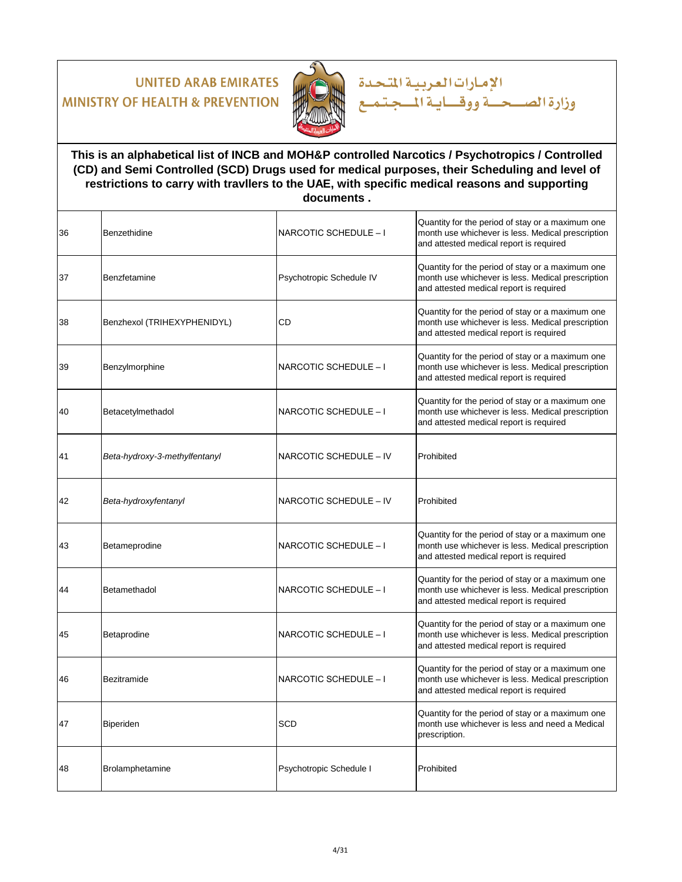

### **This is an alphabetical list of INCB and MOH&P controlled Narcotics / Psychotropics / Controlled (CD) and Semi Controlled (SCD) Drugs used for medical purposes, their Scheduling and level of restrictions to carry with travllers to the UAE, with specific medical reasons and supporting documents .**

الإمارات العربية المتحدة

| 36 | Benzethidine                  | NARCOTIC SCHEDULE - I    | Quantity for the period of stay or a maximum one<br>month use whichever is less. Medical prescription<br>and attested medical report is required |
|----|-------------------------------|--------------------------|--------------------------------------------------------------------------------------------------------------------------------------------------|
| 37 | Benzfetamine                  | Psychotropic Schedule IV | Quantity for the period of stay or a maximum one<br>month use whichever is less. Medical prescription<br>and attested medical report is required |
| 38 | Benzhexol (TRIHEXYPHENIDYL)   | CD                       | Quantity for the period of stay or a maximum one<br>month use whichever is less. Medical prescription<br>and attested medical report is required |
| 39 | Benzylmorphine                | NARCOTIC SCHEDULE - I    | Quantity for the period of stay or a maximum one<br>month use whichever is less. Medical prescription<br>and attested medical report is required |
| 40 | Betacetylmethadol             | NARCOTIC SCHEDULE - I    | Quantity for the period of stay or a maximum one<br>month use whichever is less. Medical prescription<br>and attested medical report is required |
| 41 | Beta-hydroxy-3-methylfentanyl | NARCOTIC SCHEDULE - IV   | Prohibited                                                                                                                                       |
| 42 | Beta-hydroxyfentanyl          | NARCOTIC SCHEDULE - IV   | Prohibited                                                                                                                                       |
| 43 | Betameprodine                 | NARCOTIC SCHEDULE - I    | Quantity for the period of stay or a maximum one<br>month use whichever is less. Medical prescription<br>and attested medical report is required |
| 44 | Betamethadol                  | NARCOTIC SCHEDULE - I    | Quantity for the period of stay or a maximum one<br>month use whichever is less. Medical prescription<br>and attested medical report is required |
| 45 | Betaprodine                   | NARCOTIC SCHEDULE - I    | Quantity for the period of stay or a maximum one<br>month use whichever is less. Medical prescription<br>and attested medical report is required |
| 46 | Bezitramide                   | NARCOTIC SCHEDULE - I    | Quantity for the period of stay or a maximum one<br>month use whichever is less. Medical prescription<br>and attested medical report is required |
| 47 | Biperiden                     | SCD                      | Quantity for the period of stay or a maximum one<br>month use whichever is less and need a Medical<br>prescription.                              |
| 48 | Brolamphetamine               | Psychotropic Schedule I  | Prohibited                                                                                                                                       |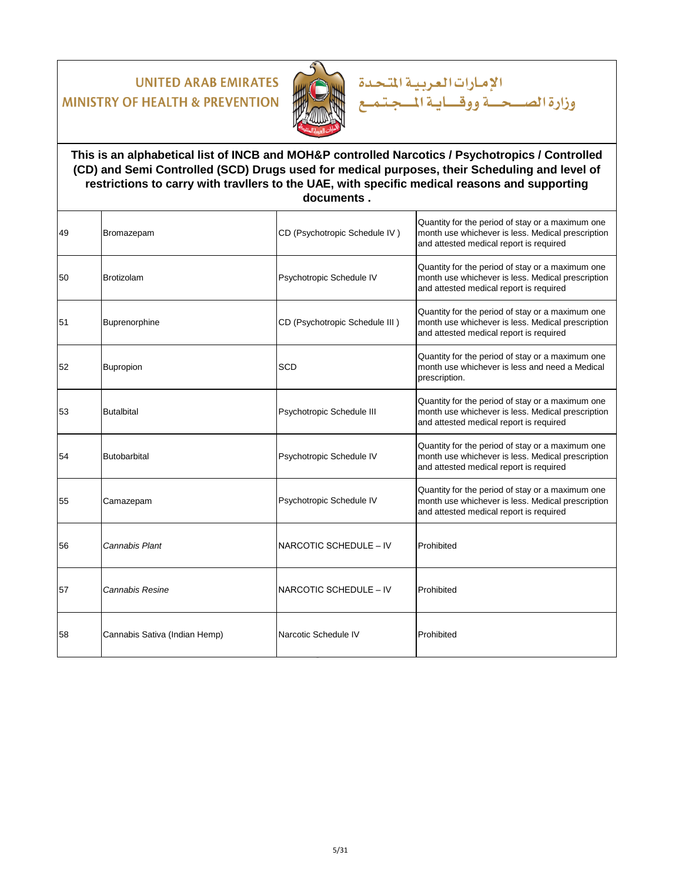

### **This is an alphabetical list of INCB and MOH&P controlled Narcotics / Psychotropics / Controlled (CD) and Semi Controlled (SCD) Drugs used for medical purposes, their Scheduling and level of restrictions to carry with travllers to the UAE, with specific medical reasons and supporting documents .**

الإمارات العربية المتحدة

| 49 | Bromazepam                    | CD (Psychotropic Schedule IV)  | Quantity for the period of stay or a maximum one<br>month use whichever is less. Medical prescription<br>and attested medical report is required |
|----|-------------------------------|--------------------------------|--------------------------------------------------------------------------------------------------------------------------------------------------|
| 50 | <b>Brotizolam</b>             | Psychotropic Schedule IV       | Quantity for the period of stay or a maximum one<br>month use whichever is less. Medical prescription<br>and attested medical report is required |
| 51 | Buprenorphine                 | CD (Psychotropic Schedule III) | Quantity for the period of stay or a maximum one<br>month use whichever is less. Medical prescription<br>and attested medical report is required |
| 52 | Bupropion                     | SCD                            | Quantity for the period of stay or a maximum one<br>month use whichever is less and need a Medical<br>prescription.                              |
| 53 | <b>Butalbital</b>             | Psychotropic Schedule III      | Quantity for the period of stay or a maximum one<br>month use whichever is less. Medical prescription<br>and attested medical report is required |
| 54 | <b>Butobarbital</b>           | Psychotropic Schedule IV       | Quantity for the period of stay or a maximum one<br>month use whichever is less. Medical prescription<br>and attested medical report is required |
| 55 | Camazepam                     | Psychotropic Schedule IV       | Quantity for the period of stay or a maximum one<br>month use whichever is less. Medical prescription<br>and attested medical report is required |
| 56 | Cannabis Plant                | NARCOTIC SCHEDULE - IV         | Prohibited                                                                                                                                       |
| 57 | Cannabis Resine               | NARCOTIC SCHEDULE - IV         | Prohibited                                                                                                                                       |
| 58 | Cannabis Sativa (Indian Hemp) | Narcotic Schedule IV           | Prohibited                                                                                                                                       |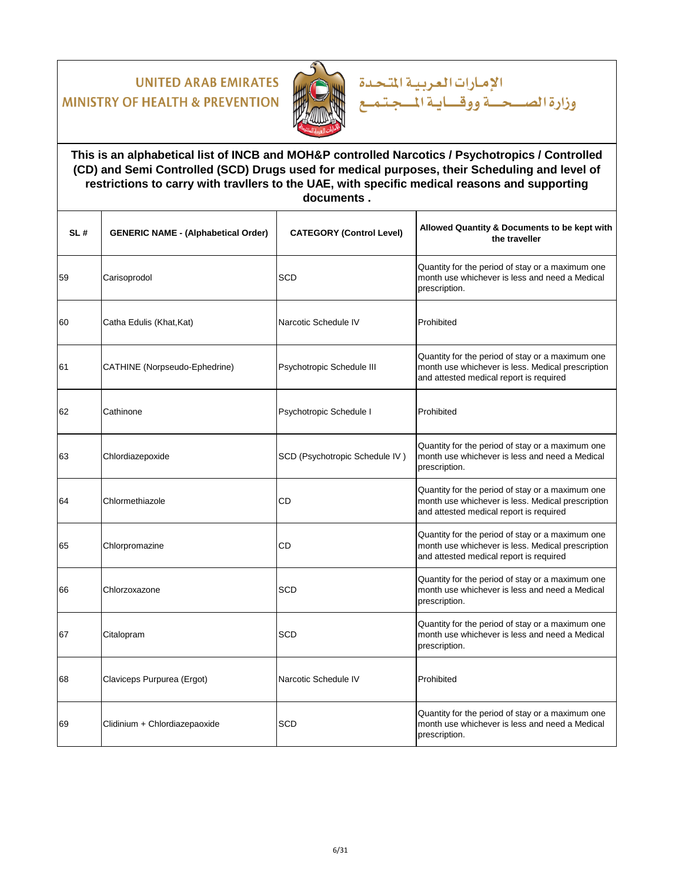

### **This is an alphabetical list of INCB and MOH&P controlled Narcotics / Psychotropics / Controlled (CD) and Semi Controlled (SCD) Drugs used for medical purposes, their Scheduling and level of restrictions to carry with travllers to the UAE, with specific medical reasons and supporting documents .**

الإمارات العربية المتحدة

| SL# | <b>GENERIC NAME - (Alphabetical Order)</b> | <b>CATEGORY (Control Level)</b> | Allowed Quantity & Documents to be kept with<br>the traveller                                                                                    |
|-----|--------------------------------------------|---------------------------------|--------------------------------------------------------------------------------------------------------------------------------------------------|
| 59  | Carisoprodol                               | <b>SCD</b>                      | Quantity for the period of stay or a maximum one<br>month use whichever is less and need a Medical<br>prescription.                              |
| 60  | Catha Edulis (Khat, Kat)                   | Narcotic Schedule IV            | Prohibited                                                                                                                                       |
| 61  | CATHINE (Norpseudo-Ephedrine)              | Psychotropic Schedule III       | Quantity for the period of stay or a maximum one<br>month use whichever is less. Medical prescription<br>and attested medical report is required |
| 62  | Cathinone                                  | Psychotropic Schedule I         | Prohibited                                                                                                                                       |
| 63  | Chlordiazepoxide                           | SCD (Psychotropic Schedule IV)  | Quantity for the period of stay or a maximum one<br>month use whichever is less and need a Medical<br>prescription.                              |
| 64  | Chlormethiazole                            | CD                              | Quantity for the period of stay or a maximum one<br>month use whichever is less. Medical prescription<br>and attested medical report is required |
| 65  | Chlorpromazine                             | CD                              | Quantity for the period of stay or a maximum one<br>month use whichever is less. Medical prescription<br>and attested medical report is required |
| 66  | Chlorzoxazone                              | SCD                             | Quantity for the period of stay or a maximum one<br>month use whichever is less and need a Medical<br>prescription.                              |
| 67  | Citalopram                                 | <b>SCD</b>                      | Quantity for the period of stay or a maximum one<br>month use whichever is less and need a Medical<br>prescription.                              |
| 68  | Claviceps Purpurea (Ergot)                 | Narcotic Schedule IV            | Prohibited                                                                                                                                       |
| 69  | Clidinium + Chlordiazepaoxide              | <b>SCD</b>                      | Quantity for the period of stay or a maximum one<br>month use whichever is less and need a Medical<br>prescription.                              |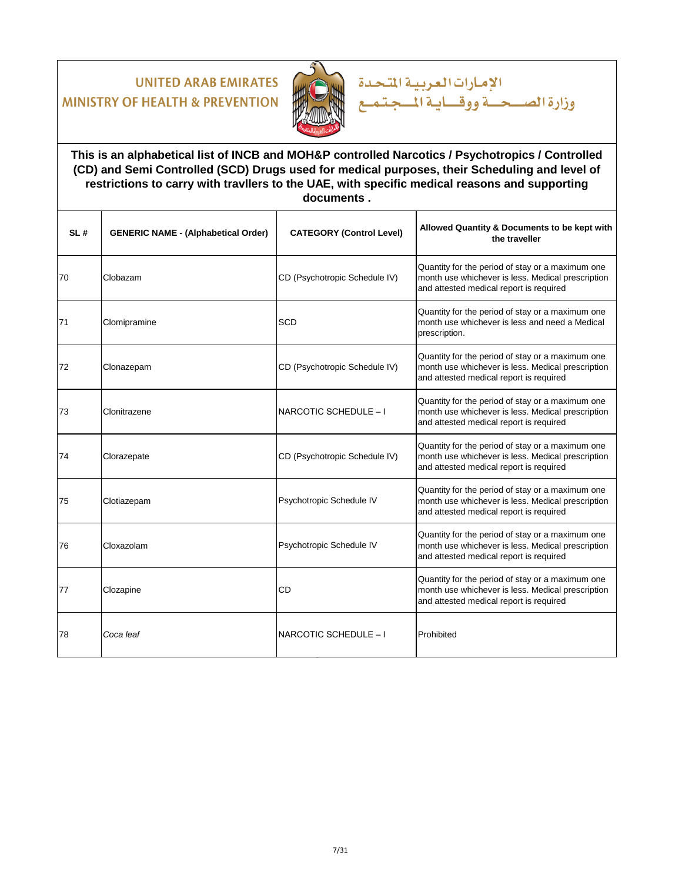

**This is an alphabetical list of INCB and MOH&P controlled Narcotics / Psychotropics / Controlled (CD) and Semi Controlled (SCD) Drugs used for medical purposes, their Scheduling and level of restrictions to carry with travllers to the UAE, with specific medical reasons and supporting documents .**

الإمارات العربية المتحدة

| SL# | <b>GENERIC NAME - (Alphabetical Order)</b> | <b>CATEGORY (Control Level)</b> | Allowed Quantity & Documents to be kept with<br>the traveller                                                                                    |
|-----|--------------------------------------------|---------------------------------|--------------------------------------------------------------------------------------------------------------------------------------------------|
| 70  | Clobazam                                   | CD (Psychotropic Schedule IV)   | Quantity for the period of stay or a maximum one<br>month use whichever is less. Medical prescription<br>and attested medical report is required |
| 71  | Clomipramine                               | SCD                             | Quantity for the period of stay or a maximum one<br>month use whichever is less and need a Medical<br>prescription.                              |
| 72  | Clonazepam                                 | CD (Psychotropic Schedule IV)   | Quantity for the period of stay or a maximum one<br>month use whichever is less. Medical prescription<br>and attested medical report is required |
| 73  | Clonitrazene                               | NARCOTIC SCHEDULE - I           | Quantity for the period of stay or a maximum one<br>month use whichever is less. Medical prescription<br>and attested medical report is required |
| 74  | Clorazepate                                | CD (Psychotropic Schedule IV)   | Quantity for the period of stay or a maximum one<br>month use whichever is less. Medical prescription<br>and attested medical report is required |
| 75  | Clotiazepam                                | Psychotropic Schedule IV        | Quantity for the period of stay or a maximum one<br>month use whichever is less. Medical prescription<br>and attested medical report is required |
| 76  | Cloxazolam                                 | Psychotropic Schedule IV        | Quantity for the period of stay or a maximum one<br>month use whichever is less. Medical prescription<br>and attested medical report is required |
| 77  | Clozapine                                  | CD                              | Quantity for the period of stay or a maximum one<br>month use whichever is less. Medical prescription<br>and attested medical report is required |
| 78  | Coca leaf                                  | NARCOTIC SCHEDULE - I           | Prohibited                                                                                                                                       |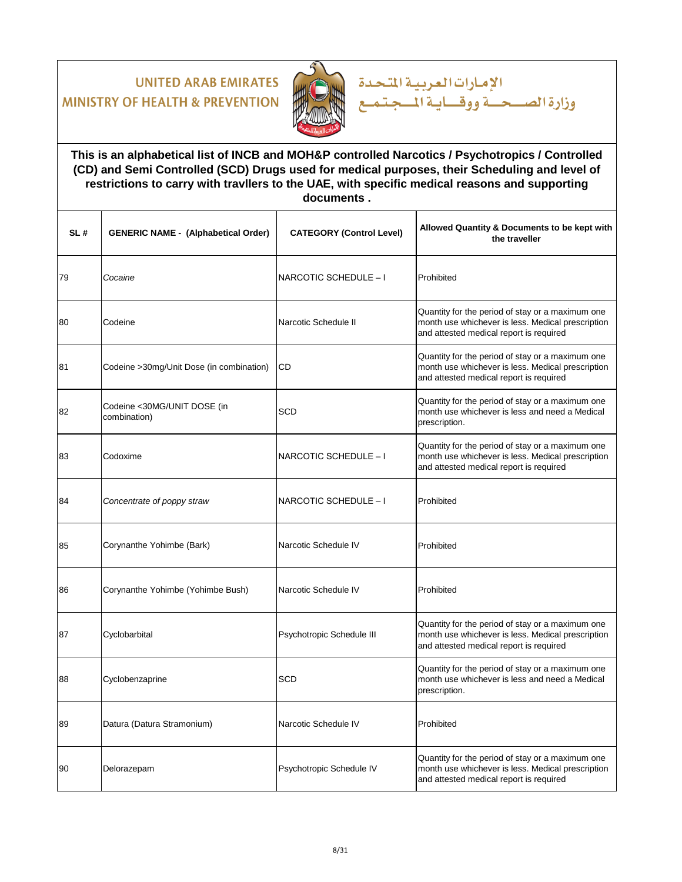

**This is an alphabetical list of INCB and MOH&P controlled Narcotics / Psychotropics / Controlled (CD) and Semi Controlled (SCD) Drugs used for medical purposes, their Scheduling and level of restrictions to carry with travllers to the UAE, with specific medical reasons and supporting documents .**

الإمارات العربية المتحدة

| SL# | <b>GENERIC NAME - (Alphabetical Order)</b>  | <b>CATEGORY (Control Level)</b> | Allowed Quantity & Documents to be kept with<br>the traveller                                                                                    |
|-----|---------------------------------------------|---------------------------------|--------------------------------------------------------------------------------------------------------------------------------------------------|
| 79  | Cocaine                                     | NARCOTIC SCHEDULE - I           | Prohibited                                                                                                                                       |
| 80  | Codeine                                     | Narcotic Schedule II            | Quantity for the period of stay or a maximum one<br>month use whichever is less. Medical prescription<br>and attested medical report is required |
| 81  | Codeine > 30mg/Unit Dose (in combination)   | CD                              | Quantity for the period of stay or a maximum one<br>month use whichever is less. Medical prescription<br>and attested medical report is required |
| 82  | Codeine <30MG/UNIT DOSE (in<br>combination) | <b>SCD</b>                      | Quantity for the period of stay or a maximum one<br>month use whichever is less and need a Medical<br>prescription.                              |
| 83  | Codoxime                                    | NARCOTIC SCHEDULE - I           | Quantity for the period of stay or a maximum one<br>month use whichever is less. Medical prescription<br>and attested medical report is required |
| 84  | Concentrate of poppy straw                  | NARCOTIC SCHEDULE - I           | Prohibited                                                                                                                                       |
| 85  | Corynanthe Yohimbe (Bark)                   | Narcotic Schedule IV            | Prohibited                                                                                                                                       |
| 86  | Corynanthe Yohimbe (Yohimbe Bush)           | Narcotic Schedule IV            | Prohibited                                                                                                                                       |
| 87  | Cyclobarbital                               | Psychotropic Schedule III       | Quantity for the period of stay or a maximum one<br>month use whichever is less. Medical prescription<br>and attested medical report is required |
| 88  | Cyclobenzaprine                             | SCD                             | Quantity for the period of stay or a maximum one<br>month use whichever is less and need a Medical<br>prescription.                              |
| 89  | Datura (Datura Stramonium)                  | Narcotic Schedule IV            | Prohibited                                                                                                                                       |
| 90  | Delorazepam                                 | Psychotropic Schedule IV        | Quantity for the period of stay or a maximum one<br>month use whichever is less. Medical prescription<br>and attested medical report is required |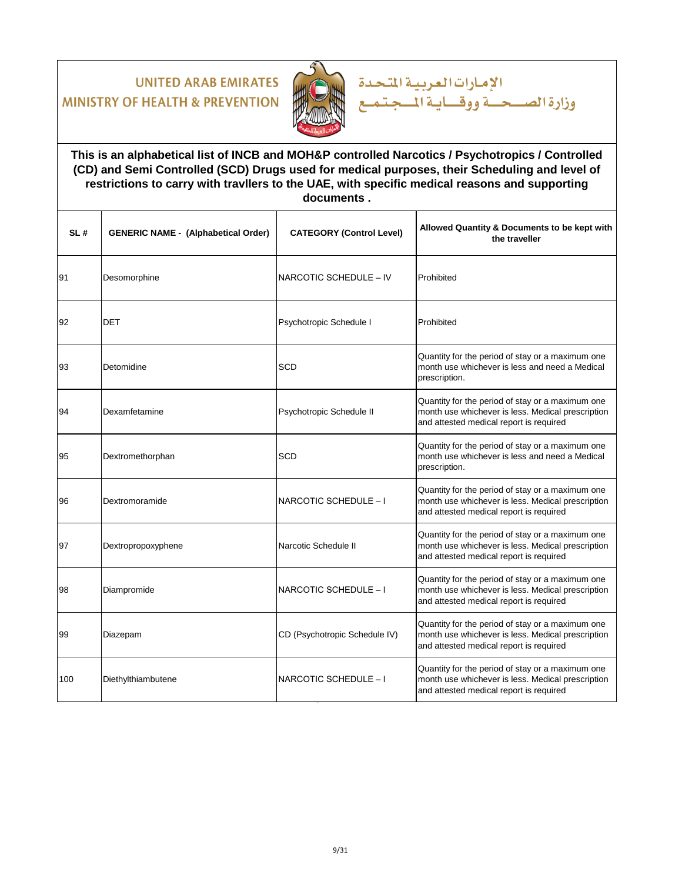

### **This is an alphabetical list of INCB and MOH&P controlled Narcotics / Psychotropics / Controlled (CD) and Semi Controlled (SCD) Drugs used for medical purposes, their Scheduling and level of restrictions to carry with travllers to the UAE, with specific medical reasons and supporting documents .**

الإمارات العربية المتحدة

| SL# | <b>GENERIC NAME - (Alphabetical Order)</b> | <b>CATEGORY (Control Level)</b> | Allowed Quantity & Documents to be kept with<br>the traveller                                                                                    |
|-----|--------------------------------------------|---------------------------------|--------------------------------------------------------------------------------------------------------------------------------------------------|
| 91  | Desomorphine                               | NARCOTIC SCHEDULE - IV          | Prohibited                                                                                                                                       |
| 92  | <b>DET</b>                                 | Psychotropic Schedule I         | Prohibited                                                                                                                                       |
| 93  | Detomidine                                 | <b>SCD</b>                      | Quantity for the period of stay or a maximum one<br>month use whichever is less and need a Medical<br>prescription.                              |
| 94  | Dexamfetamine                              | Psychotropic Schedule II        | Quantity for the period of stay or a maximum one<br>month use whichever is less. Medical prescription<br>and attested medical report is required |
| 95  | Dextromethorphan                           | <b>SCD</b>                      | Quantity for the period of stay or a maximum one<br>month use whichever is less and need a Medical<br>prescription.                              |
| 96  | Dextromoramide                             | NARCOTIC SCHEDULE - I           | Quantity for the period of stay or a maximum one<br>month use whichever is less. Medical prescription<br>and attested medical report is required |
| 97  | Dextropropoxyphene                         | Narcotic Schedule II            | Quantity for the period of stay or a maximum one<br>month use whichever is less. Medical prescription<br>and attested medical report is required |
| 98  | Diampromide                                | NARCOTIC SCHEDULE - I           | Quantity for the period of stay or a maximum one<br>month use whichever is less. Medical prescription<br>and attested medical report is required |
| 99  | Diazepam                                   | CD (Psychotropic Schedule IV)   | Quantity for the period of stay or a maximum one<br>month use whichever is less. Medical prescription<br>and attested medical report is required |
| 100 | Diethylthiambutene                         | NARCOTIC SCHEDULE - I           | Quantity for the period of stay or a maximum one<br>month use whichever is less. Medical prescription<br>and attested medical report is required |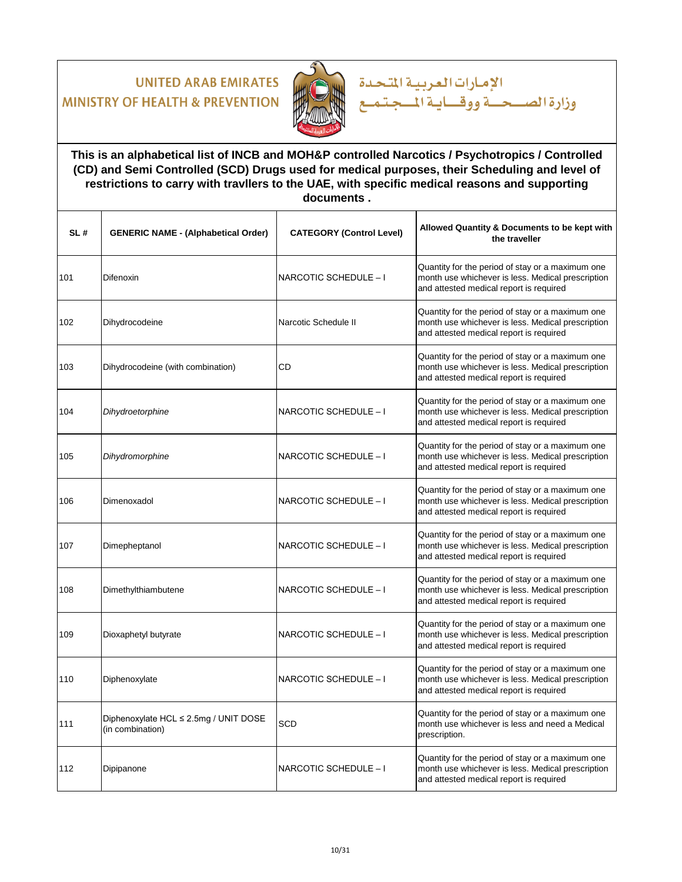

### **This is an alphabetical list of INCB and MOH&P controlled Narcotics / Psychotropics / Controlled (CD) and Semi Controlled (SCD) Drugs used for medical purposes, their Scheduling and level of restrictions to carry with travllers to the UAE, with specific medical reasons and supporting documents .**

الإمارات العربية المتحدة

| SL# | <b>GENERIC NAME - (Alphabetical Order)</b>                | <b>CATEGORY (Control Level)</b> | Allowed Quantity & Documents to be kept with<br>the traveller                                                                                    |
|-----|-----------------------------------------------------------|---------------------------------|--------------------------------------------------------------------------------------------------------------------------------------------------|
| 101 | Difenoxin                                                 | NARCOTIC SCHEDULE - I           | Quantity for the period of stay or a maximum one<br>month use whichever is less. Medical prescription<br>and attested medical report is required |
| 102 | Dihydrocodeine                                            | Narcotic Schedule II            | Quantity for the period of stay or a maximum one<br>month use whichever is less. Medical prescription<br>and attested medical report is required |
| 103 | Dihydrocodeine (with combination)                         | CD                              | Quantity for the period of stay or a maximum one<br>month use whichever is less. Medical prescription<br>and attested medical report is required |
| 104 | Dihydroetorphine                                          | NARCOTIC SCHEDULE - I           | Quantity for the period of stay or a maximum one<br>month use whichever is less. Medical prescription<br>and attested medical report is required |
| 105 | Dihydromorphine                                           | NARCOTIC SCHEDULE - I           | Quantity for the period of stay or a maximum one<br>month use whichever is less. Medical prescription<br>and attested medical report is required |
| 106 | Dimenoxadol                                               | NARCOTIC SCHEDULE - I           | Quantity for the period of stay or a maximum one<br>month use whichever is less. Medical prescription<br>and attested medical report is required |
| 107 | Dimepheptanol                                             | NARCOTIC SCHEDULE - I           | Quantity for the period of stay or a maximum one<br>month use whichever is less. Medical prescription<br>and attested medical report is required |
| 108 | Dimethylthiambutene                                       | NARCOTIC SCHEDULE - I           | Quantity for the period of stay or a maximum one<br>month use whichever is less. Medical prescription<br>and attested medical report is required |
| 109 | Dioxaphetyl butyrate                                      | NARCOTIC SCHEDULE - I           | Quantity for the period of stay or a maximum one<br>month use whichever is less. Medical prescription<br>and attested medical report is required |
| 110 | Diphenoxylate                                             | NARCOTIC SCHEDULE - I           | Quantity for the period of stay or a maximum one<br>month use whichever is less. Medical prescription<br>and attested medical report is required |
| 111 | Diphenoxylate HCL ≤ 2.5mg / UNIT DOSE<br>(in combination) | <b>SCD</b>                      | Quantity for the period of stay or a maximum one<br>month use whichever is less and need a Medical<br>prescription.                              |
| 112 | Dipipanone                                                | NARCOTIC SCHEDULE - I           | Quantity for the period of stay or a maximum one<br>month use whichever is less. Medical prescription<br>and attested medical report is required |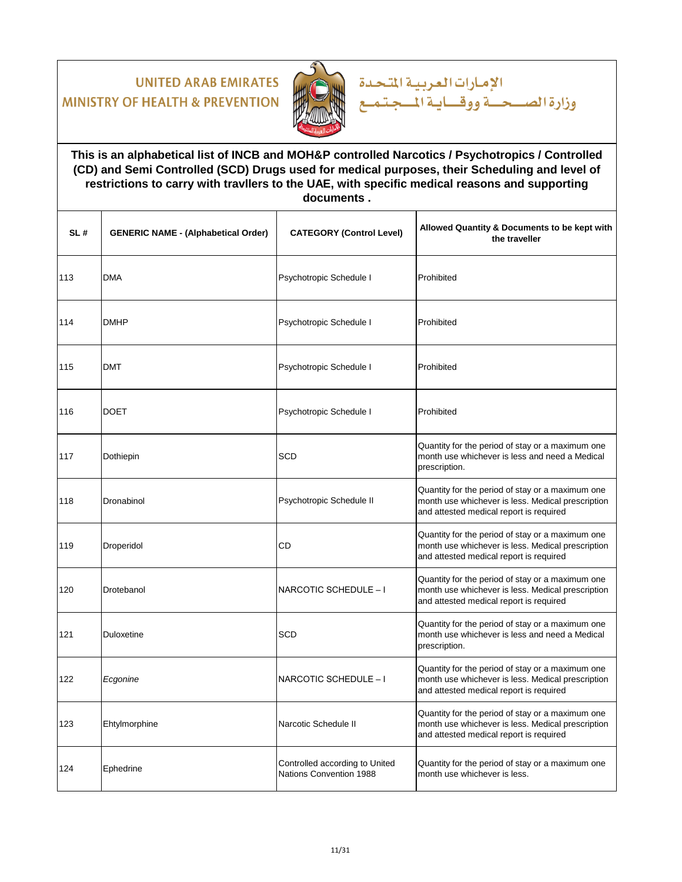

### **This is an alphabetical list of INCB and MOH&P controlled Narcotics / Psychotropics / Controlled (CD) and Semi Controlled (SCD) Drugs used for medical purposes, their Scheduling and level of restrictions to carry with travllers to the UAE, with specific medical reasons and supporting documents .**

الإمارات العربية المتحدة

| SL# | <b>GENERIC NAME - (Alphabetical Order)</b> | <b>CATEGORY (Control Level)</b>                           | Allowed Quantity & Documents to be kept with<br>the traveller                                                                                    |
|-----|--------------------------------------------|-----------------------------------------------------------|--------------------------------------------------------------------------------------------------------------------------------------------------|
| 113 | <b>DMA</b>                                 | Psychotropic Schedule I                                   | Prohibited                                                                                                                                       |
| 114 | <b>DMHP</b>                                | Psychotropic Schedule I                                   | Prohibited                                                                                                                                       |
| 115 | DMT                                        | Psychotropic Schedule I                                   | Prohibited                                                                                                                                       |
| 116 | <b>DOET</b>                                | Psychotropic Schedule I                                   | Prohibited                                                                                                                                       |
| 117 | Dothiepin                                  | <b>SCD</b>                                                | Quantity for the period of stay or a maximum one<br>month use whichever is less and need a Medical<br>prescription.                              |
| 118 | Dronabinol                                 | Psychotropic Schedule II                                  | Quantity for the period of stay or a maximum one<br>month use whichever is less. Medical prescription<br>and attested medical report is required |
| 119 | Droperidol                                 | CD                                                        | Quantity for the period of stay or a maximum one<br>month use whichever is less. Medical prescription<br>and attested medical report is required |
| 120 | Drotebanol                                 | NARCOTIC SCHEDULE - I                                     | Quantity for the period of stay or a maximum one<br>month use whichever is less. Medical prescription<br>and attested medical report is required |
| 121 | Duloxetine                                 | <b>SCD</b>                                                | Quantity for the period of stay or a maximum one<br>month use whichever is less and need a Medical<br>prescription.                              |
| 122 | Ecgonine                                   | NARCOTIC SCHEDULE - I                                     | Quantity for the period of stay or a maximum one<br>month use whichever is less. Medical prescription<br>and attested medical report is required |
| 123 | Ehtylmorphine                              | Narcotic Schedule II                                      | Quantity for the period of stay or a maximum one<br>month use whichever is less. Medical prescription<br>and attested medical report is required |
| 124 | Ephedrine                                  | Controlled according to United<br>Nations Convention 1988 | Quantity for the period of stay or a maximum one<br>month use whichever is less.                                                                 |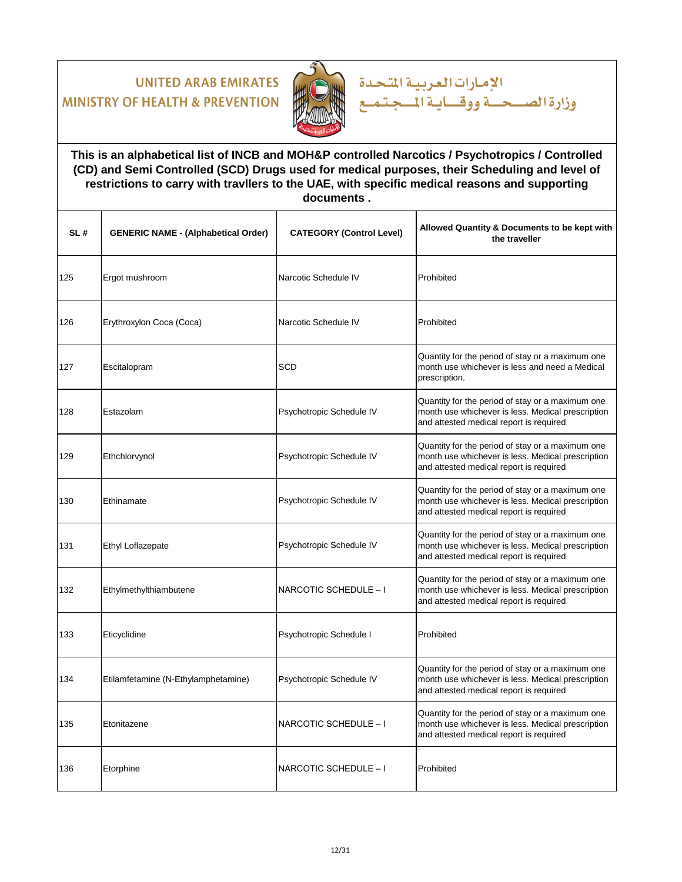

### **This is an alphabetical list of INCB and MOH&P controlled Narcotics / Psychotropics / Controlled (CD) and Semi Controlled (SCD) Drugs used for medical purposes, their Scheduling and level of restrictions to carry with travllers to the UAE, with specific medical reasons and supporting documents .**

الإمارات العربية المتحدة

| SL# | <b>GENERIC NAME - (Alphabetical Order)</b> | <b>CATEGORY (Control Level)</b> | Allowed Quantity & Documents to be kept with<br>the traveller                                                                                    |
|-----|--------------------------------------------|---------------------------------|--------------------------------------------------------------------------------------------------------------------------------------------------|
| 125 | Ergot mushroom                             | Narcotic Schedule IV            | Prohibited                                                                                                                                       |
| 126 | Erythroxylon Coca (Coca)                   | Narcotic Schedule IV            | Prohibited                                                                                                                                       |
| 127 | Escitalopram                               | <b>SCD</b>                      | Quantity for the period of stay or a maximum one<br>month use whichever is less and need a Medical<br>prescription.                              |
| 128 | Estazolam                                  | Psychotropic Schedule IV        | Quantity for the period of stay or a maximum one<br>month use whichever is less. Medical prescription<br>and attested medical report is required |
| 129 | Ethchlorvynol                              | Psychotropic Schedule IV        | Quantity for the period of stay or a maximum one<br>month use whichever is less. Medical prescription<br>and attested medical report is required |
| 130 | Ethinamate                                 | Psychotropic Schedule IV        | Quantity for the period of stay or a maximum one<br>month use whichever is less. Medical prescription<br>and attested medical report is required |
| 131 | Ethyl Loflazepate                          | Psychotropic Schedule IV        | Quantity for the period of stay or a maximum one<br>month use whichever is less. Medical prescription<br>and attested medical report is required |
| 132 | Ethylmethylthiambutene                     | NARCOTIC SCHEDULE - I           | Quantity for the period of stay or a maximum one<br>month use whichever is less. Medical prescription<br>and attested medical report is required |
| 133 | Eticyclidine                               | Psychotropic Schedule I         | Prohibited                                                                                                                                       |
| 134 | Etilamfetamine (N-Ethylamphetamine)        | Psychotropic Schedule IV        | Quantity for the period of stay or a maximum one<br>month use whichever is less. Medical prescription<br>and attested medical report is required |
| 135 | Etonitazene                                | NARCOTIC SCHEDULE - I           | Quantity for the period of stay or a maximum one<br>month use whichever is less. Medical prescription<br>and attested medical report is required |
| 136 | Etorphine                                  | NARCOTIC SCHEDULE - I           | Prohibited                                                                                                                                       |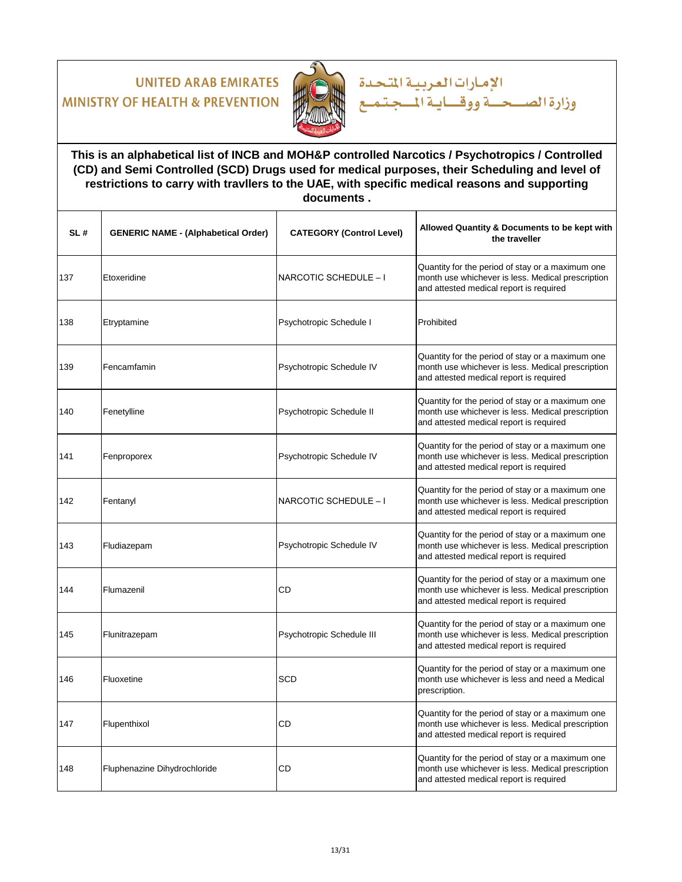

### **This is an alphabetical list of INCB and MOH&P controlled Narcotics / Psychotropics / Controlled (CD) and Semi Controlled (SCD) Drugs used for medical purposes, their Scheduling and level of restrictions to carry with travllers to the UAE, with specific medical reasons and supporting documents .**

الإمارات العربية المتحدة

| SL# | <b>GENERIC NAME - (Alphabetical Order)</b> | <b>CATEGORY (Control Level)</b> | Allowed Quantity & Documents to be kept with<br>the traveller                                                                                    |
|-----|--------------------------------------------|---------------------------------|--------------------------------------------------------------------------------------------------------------------------------------------------|
| 137 | Etoxeridine                                | NARCOTIC SCHEDULE - I           | Quantity for the period of stay or a maximum one<br>month use whichever is less. Medical prescription<br>and attested medical report is required |
| 138 | Etryptamine                                | Psychotropic Schedule I         | Prohibited                                                                                                                                       |
| 139 | Fencamfamin                                | Psychotropic Schedule IV        | Quantity for the period of stay or a maximum one<br>month use whichever is less. Medical prescription<br>and attested medical report is required |
| 140 | Fenetylline                                | Psychotropic Schedule II        | Quantity for the period of stay or a maximum one<br>month use whichever is less. Medical prescription<br>and attested medical report is required |
| 141 | Fenproporex                                | Psychotropic Schedule IV        | Quantity for the period of stay or a maximum one<br>month use whichever is less. Medical prescription<br>and attested medical report is required |
| 142 | Fentanyl                                   | NARCOTIC SCHEDULE - I           | Quantity for the period of stay or a maximum one<br>month use whichever is less. Medical prescription<br>and attested medical report is required |
| 143 | Fludiazepam                                | Psychotropic Schedule IV        | Quantity for the period of stay or a maximum one<br>month use whichever is less. Medical prescription<br>and attested medical report is required |
| 144 | Flumazenil                                 | CD                              | Quantity for the period of stay or a maximum one<br>month use whichever is less. Medical prescription<br>and attested medical report is required |
| 145 | Flunitrazepam                              | Psychotropic Schedule III       | Quantity for the period of stay or a maximum one<br>month use whichever is less. Medical prescription<br>and attested medical report is required |
| 146 | Fluoxetine                                 | SCD                             | Quantity for the period of stay or a maximum one<br>month use whichever is less and need a Medical<br>prescription.                              |
| 147 | Flupenthixol                               | CD                              | Quantity for the period of stay or a maximum one<br>month use whichever is less. Medical prescription<br>and attested medical report is required |
| 148 | Fluphenazine Dihydrochloride               | CD                              | Quantity for the period of stay or a maximum one<br>month use whichever is less. Medical prescription<br>and attested medical report is required |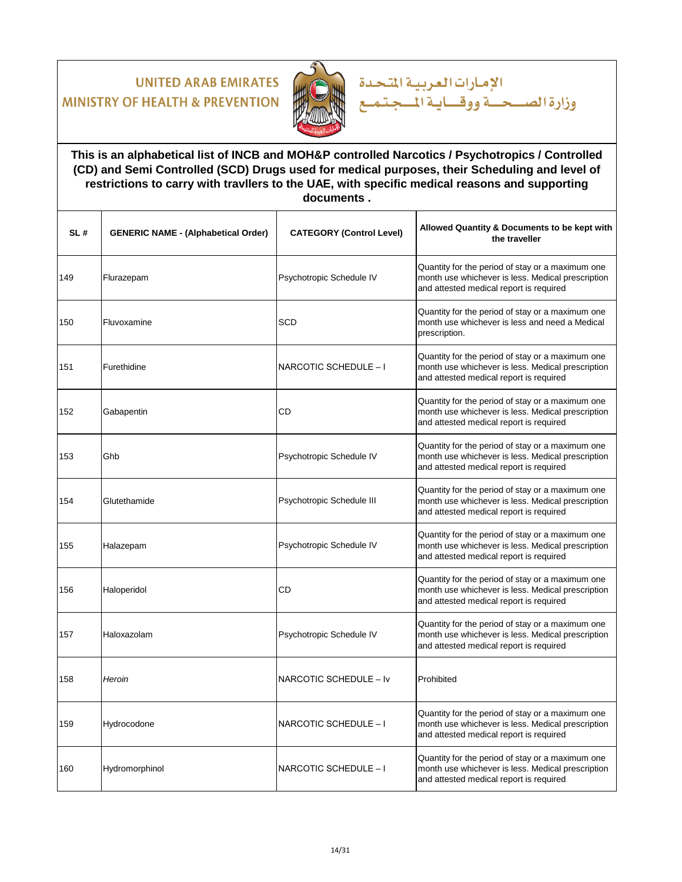

### **This is an alphabetical list of INCB and MOH&P controlled Narcotics / Psychotropics / Controlled (CD) and Semi Controlled (SCD) Drugs used for medical purposes, their Scheduling and level of restrictions to carry with travllers to the UAE, with specific medical reasons and supporting documents .**

الإمارات العربية المتحدة

| SL# | <b>GENERIC NAME - (Alphabetical Order)</b> | <b>CATEGORY (Control Level)</b> | Allowed Quantity & Documents to be kept with<br>the traveller                                                                                    |
|-----|--------------------------------------------|---------------------------------|--------------------------------------------------------------------------------------------------------------------------------------------------|
| 149 | Flurazepam                                 | Psychotropic Schedule IV        | Quantity for the period of stay or a maximum one<br>month use whichever is less. Medical prescription<br>and attested medical report is required |
| 150 | Fluvoxamine                                | <b>SCD</b>                      | Quantity for the period of stay or a maximum one<br>month use whichever is less and need a Medical<br>prescription.                              |
| 151 | Furethidine                                | NARCOTIC SCHEDULE - I           | Quantity for the period of stay or a maximum one<br>month use whichever is less. Medical prescription<br>and attested medical report is required |
| 152 | Gabapentin                                 | CD                              | Quantity for the period of stay or a maximum one<br>month use whichever is less. Medical prescription<br>and attested medical report is required |
| 153 | Ghb                                        | Psychotropic Schedule IV        | Quantity for the period of stay or a maximum one<br>month use whichever is less. Medical prescription<br>and attested medical report is required |
| 154 | Glutethamide                               | Psychotropic Schedule III       | Quantity for the period of stay or a maximum one<br>month use whichever is less. Medical prescription<br>and attested medical report is required |
| 155 | Halazepam                                  | Psychotropic Schedule IV        | Quantity for the period of stay or a maximum one<br>month use whichever is less. Medical prescription<br>and attested medical report is required |
| 156 | Haloperidol                                | CD                              | Quantity for the period of stay or a maximum one<br>month use whichever is less. Medical prescription<br>and attested medical report is required |
| 157 | Haloxazolam                                | Psychotropic Schedule IV        | Quantity for the period of stay or a maximum one<br>month use whichever is less. Medical prescription<br>and attested medical report is required |
| 158 | Heroin                                     | NARCOTIC SCHEDULE - Iv          | Prohibited                                                                                                                                       |
| 159 | Hydrocodone                                | NARCOTIC SCHEDULE - I           | Quantity for the period of stay or a maximum one<br>month use whichever is less. Medical prescription<br>and attested medical report is required |
| 160 | Hydromorphinol                             | NARCOTIC SCHEDULE - I           | Quantity for the period of stay or a maximum one<br>month use whichever is less. Medical prescription<br>and attested medical report is required |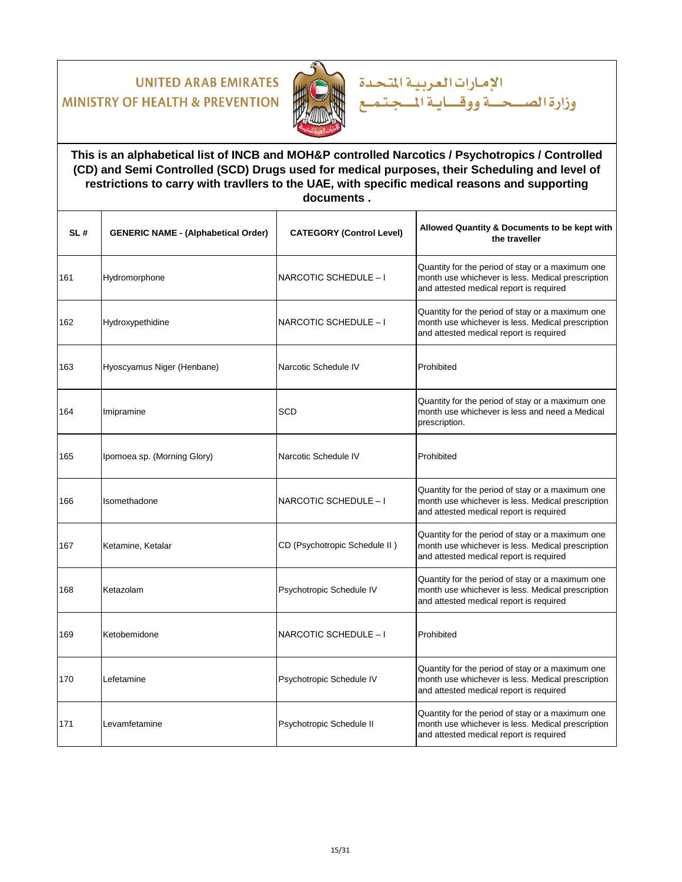

### **This is an alphabetical list of INCB and MOH&P controlled Narcotics / Psychotropics / Controlled (CD) and Semi Controlled (SCD) Drugs used for medical purposes, their Scheduling and level of restrictions to carry with travllers to the UAE, with specific medical reasons and supporting documents .**

الإمارات العربية المتحدة

| SL# | <b>GENERIC NAME - (Alphabetical Order)</b> | <b>CATEGORY (Control Level)</b> | Allowed Quantity & Documents to be kept with<br>the traveller                                                                                    |
|-----|--------------------------------------------|---------------------------------|--------------------------------------------------------------------------------------------------------------------------------------------------|
| 161 | Hydromorphone                              | NARCOTIC SCHEDULE - I           | Quantity for the period of stay or a maximum one<br>month use whichever is less. Medical prescription<br>and attested medical report is required |
| 162 | Hydroxypethidine                           | NARCOTIC SCHEDULE - I           | Quantity for the period of stay or a maximum one<br>month use whichever is less. Medical prescription<br>and attested medical report is required |
| 163 | Hyoscyamus Niger (Henbane)                 | Narcotic Schedule IV            | Prohibited                                                                                                                                       |
| 164 | Imipramine                                 | SCD                             | Quantity for the period of stay or a maximum one<br>month use whichever is less and need a Medical<br>prescription.                              |
| 165 | Ipomoea sp. (Morning Glory)                | Narcotic Schedule IV            | Prohibited                                                                                                                                       |
| 166 | Isomethadone                               | NARCOTIC SCHEDULE - I           | Quantity for the period of stay or a maximum one<br>month use whichever is less. Medical prescription<br>and attested medical report is required |
| 167 | Ketamine, Ketalar                          | CD (Psychotropic Schedule II)   | Quantity for the period of stay or a maximum one<br>month use whichever is less. Medical prescription<br>and attested medical report is required |
| 168 | Ketazolam                                  | Psychotropic Schedule IV        | Quantity for the period of stay or a maximum one<br>month use whichever is less. Medical prescription<br>and attested medical report is required |
| 169 | Ketobemidone                               | NARCOTIC SCHEDULE - I           | Prohibited                                                                                                                                       |
| 170 | Lefetamine                                 | Psychotropic Schedule IV        | Quantity for the period of stay or a maximum one<br>month use whichever is less. Medical prescription<br>and attested medical report is required |
| 171 | Levamfetamine                              | Psychotropic Schedule II        | Quantity for the period of stay or a maximum one<br>month use whichever is less. Medical prescription<br>and attested medical report is required |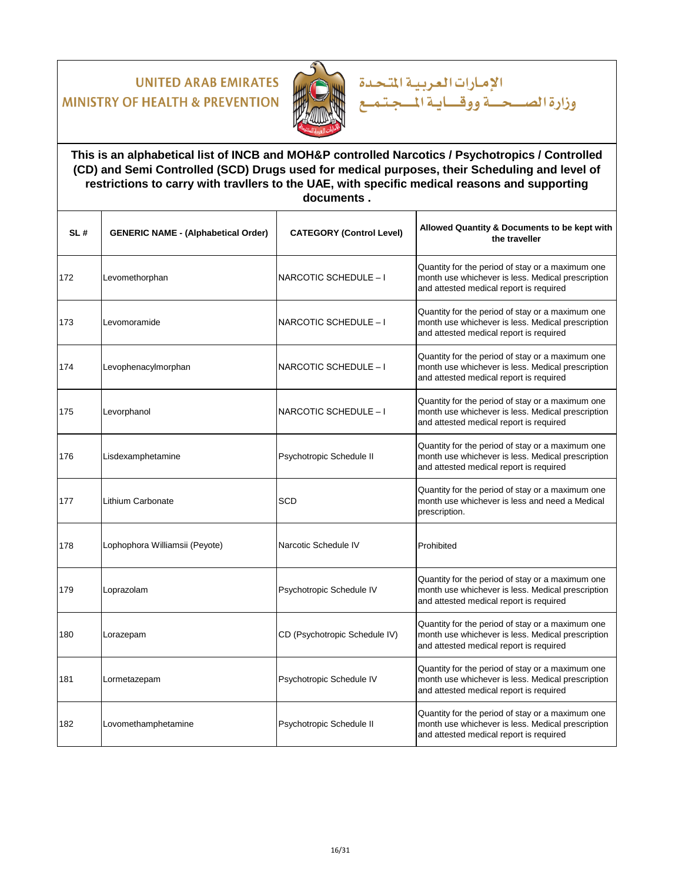

### **This is an alphabetical list of INCB and MOH&P controlled Narcotics / Psychotropics / Controlled (CD) and Semi Controlled (SCD) Drugs used for medical purposes, their Scheduling and level of restrictions to carry with travllers to the UAE, with specific medical reasons and supporting documents .**

الإمارات العربية المتحدة

| SL# | <b>GENERIC NAME - (Alphabetical Order)</b> | <b>CATEGORY (Control Level)</b> | Allowed Quantity & Documents to be kept with<br>the traveller                                                                                    |
|-----|--------------------------------------------|---------------------------------|--------------------------------------------------------------------------------------------------------------------------------------------------|
| 172 | Levomethorphan                             | NARCOTIC SCHEDULE - I           | Quantity for the period of stay or a maximum one<br>month use whichever is less. Medical prescription<br>and attested medical report is required |
| 173 | Levomoramide                               | NARCOTIC SCHEDULE - I           | Quantity for the period of stay or a maximum one<br>month use whichever is less. Medical prescription<br>and attested medical report is required |
| 174 | Levophenacylmorphan                        | NARCOTIC SCHEDULE - I           | Quantity for the period of stay or a maximum one<br>month use whichever is less. Medical prescription<br>and attested medical report is required |
| 175 | Levorphanol                                | NARCOTIC SCHEDULE - I           | Quantity for the period of stay or a maximum one<br>month use whichever is less. Medical prescription<br>and attested medical report is required |
| 176 | Lisdexamphetamine                          | Psychotropic Schedule II        | Quantity for the period of stay or a maximum one<br>month use whichever is less. Medical prescription<br>and attested medical report is required |
| 177 | Lithium Carbonate                          | <b>SCD</b>                      | Quantity for the period of stay or a maximum one<br>month use whichever is less and need a Medical<br>prescription.                              |
| 178 | Lophophora Williamsii (Peyote)             | Narcotic Schedule IV            | Prohibited                                                                                                                                       |
| 179 | Loprazolam                                 | Psychotropic Schedule IV        | Quantity for the period of stay or a maximum one<br>month use whichever is less. Medical prescription<br>and attested medical report is required |
| 180 | Lorazepam                                  | CD (Psychotropic Schedule IV)   | Quantity for the period of stay or a maximum one<br>month use whichever is less. Medical prescription<br>and attested medical report is required |
| 181 | Lormetazepam                               | Psychotropic Schedule IV        | Quantity for the period of stay or a maximum one<br>month use whichever is less. Medical prescription<br>and attested medical report is required |
| 182 | Lovomethamphetamine                        | Psychotropic Schedule II        | Quantity for the period of stay or a maximum one<br>month use whichever is less. Medical prescription<br>and attested medical report is required |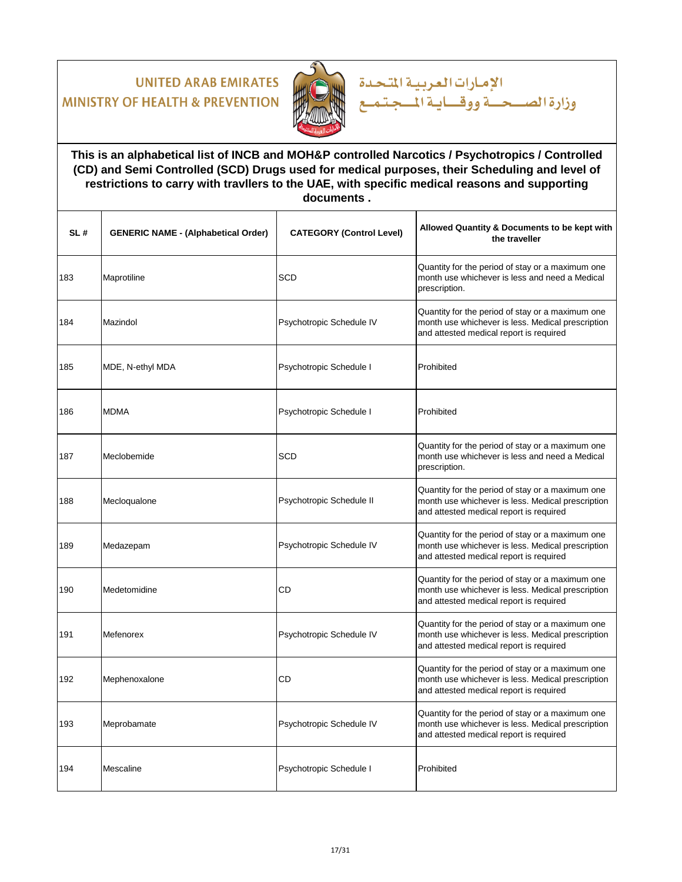

### **This is an alphabetical list of INCB and MOH&P controlled Narcotics / Psychotropics / Controlled (CD) and Semi Controlled (SCD) Drugs used for medical purposes, their Scheduling and level of restrictions to carry with travllers to the UAE, with specific medical reasons and supporting documents .**

الإمارات العربية المتحدة

| SL# | <b>GENERIC NAME - (Alphabetical Order)</b> | <b>CATEGORY (Control Level)</b> | Allowed Quantity & Documents to be kept with<br>the traveller                                                                                    |
|-----|--------------------------------------------|---------------------------------|--------------------------------------------------------------------------------------------------------------------------------------------------|
| 183 | Maprotiline                                | SCD                             | Quantity for the period of stay or a maximum one<br>month use whichever is less and need a Medical<br>prescription.                              |
| 184 | Mazindol                                   | Psychotropic Schedule IV        | Quantity for the period of stay or a maximum one<br>month use whichever is less. Medical prescription<br>and attested medical report is required |
| 185 | MDE, N-ethyl MDA                           | Psychotropic Schedule I         | Prohibited                                                                                                                                       |
| 186 | <b>MDMA</b>                                | Psychotropic Schedule I         | Prohibited                                                                                                                                       |
| 187 | Meclobemide                                | <b>SCD</b>                      | Quantity for the period of stay or a maximum one<br>month use whichever is less and need a Medical<br>prescription.                              |
| 188 | Mecloqualone                               | Psychotropic Schedule II        | Quantity for the period of stay or a maximum one<br>month use whichever is less. Medical prescription<br>and attested medical report is required |
| 189 | Medazepam                                  | Psychotropic Schedule IV        | Quantity for the period of stay or a maximum one<br>month use whichever is less. Medical prescription<br>and attested medical report is required |
| 190 | Medetomidine                               | <b>CD</b>                       | Quantity for the period of stay or a maximum one<br>month use whichever is less. Medical prescription<br>and attested medical report is required |
| 191 | Mefenorex                                  | Psychotropic Schedule IV        | Quantity for the period of stay or a maximum one<br>month use whichever is less. Medical prescription<br>and attested medical report is required |
| 192 | Mephenoxalone                              | <b>CD</b>                       | Quantity for the period of stay or a maximum one<br>month use whichever is less. Medical prescription<br>and attested medical report is required |
| 193 | Meprobamate                                | Psychotropic Schedule IV        | Quantity for the period of stay or a maximum one<br>month use whichever is less. Medical prescription<br>and attested medical report is required |
| 194 | Mescaline                                  | Psychotropic Schedule I         | Prohibited                                                                                                                                       |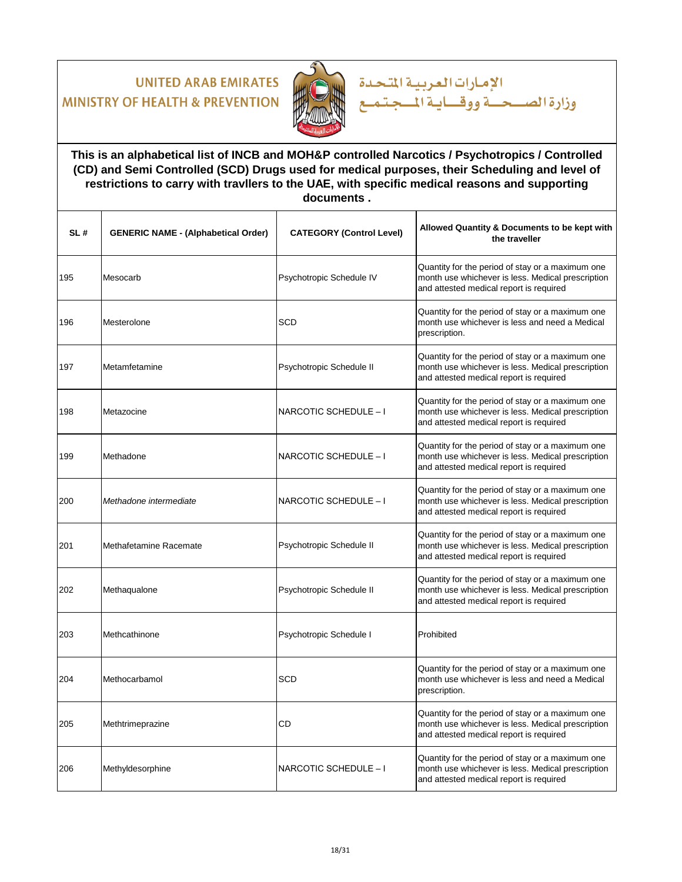

### **This is an alphabetical list of INCB and MOH&P controlled Narcotics / Psychotropics / Controlled (CD) and Semi Controlled (SCD) Drugs used for medical purposes, their Scheduling and level of restrictions to carry with travllers to the UAE, with specific medical reasons and supporting documents .**

الإمارات العربية المتحدة

| SL# | <b>GENERIC NAME - (Alphabetical Order)</b> | <b>CATEGORY (Control Level)</b> | Allowed Quantity & Documents to be kept with<br>the traveller                                                                                    |
|-----|--------------------------------------------|---------------------------------|--------------------------------------------------------------------------------------------------------------------------------------------------|
| 195 | Mesocarb                                   | Psychotropic Schedule IV        | Quantity for the period of stay or a maximum one<br>month use whichever is less. Medical prescription<br>and attested medical report is required |
| 196 | Mesterolone                                | <b>SCD</b>                      | Quantity for the period of stay or a maximum one<br>month use whichever is less and need a Medical<br>prescription.                              |
| 197 | Metamfetamine                              | Psychotropic Schedule II        | Quantity for the period of stay or a maximum one<br>month use whichever is less. Medical prescription<br>and attested medical report is required |
| 198 | Metazocine                                 | NARCOTIC SCHEDULE - I           | Quantity for the period of stay or a maximum one<br>month use whichever is less. Medical prescription<br>and attested medical report is required |
| 199 | Methadone                                  | NARCOTIC SCHEDULE - I           | Quantity for the period of stay or a maximum one<br>month use whichever is less. Medical prescription<br>and attested medical report is required |
| 200 | Methadone intermediate                     | NARCOTIC SCHEDULE - I           | Quantity for the period of stay or a maximum one<br>month use whichever is less. Medical prescription<br>and attested medical report is required |
| 201 | Methafetamine Racemate                     | Psychotropic Schedule II        | Quantity for the period of stay or a maximum one<br>month use whichever is less. Medical prescription<br>and attested medical report is required |
| 202 | Methaqualone                               | Psychotropic Schedule II        | Quantity for the period of stay or a maximum one<br>month use whichever is less. Medical prescription<br>and attested medical report is required |
| 203 | Methcathinone                              | Psychotropic Schedule I         | Prohibited                                                                                                                                       |
| 204 | Methocarbamol                              | SCD                             | Quantity for the period of stay or a maximum one<br>month use whichever is less and need a Medical<br>prescription.                              |
| 205 | Methtrimeprazine                           | CD                              | Quantity for the period of stay or a maximum one<br>month use whichever is less. Medical prescription<br>and attested medical report is required |
| 206 | Methyldesorphine                           | NARCOTIC SCHEDULE - I           | Quantity for the period of stay or a maximum one<br>month use whichever is less. Medical prescription<br>and attested medical report is required |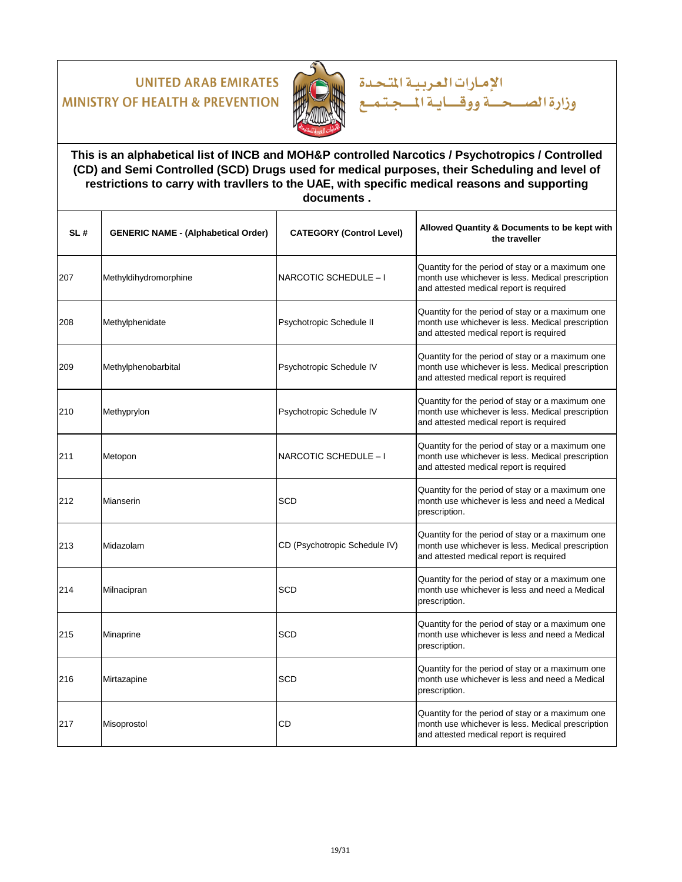

### **This is an alphabetical list of INCB and MOH&P controlled Narcotics / Psychotropics / Controlled (CD) and Semi Controlled (SCD) Drugs used for medical purposes, their Scheduling and level of restrictions to carry with travllers to the UAE, with specific medical reasons and supporting documents .**

الإمارات العربية المتحدة

| SL# | <b>GENERIC NAME - (Alphabetical Order)</b> | <b>CATEGORY (Control Level)</b> | Allowed Quantity & Documents to be kept with<br>the traveller                                                                                    |
|-----|--------------------------------------------|---------------------------------|--------------------------------------------------------------------------------------------------------------------------------------------------|
| 207 | Methyldihydromorphine                      | NARCOTIC SCHEDULE - I           | Quantity for the period of stay or a maximum one<br>month use whichever is less. Medical prescription<br>and attested medical report is required |
| 208 | Methylphenidate                            | Psychotropic Schedule II        | Quantity for the period of stay or a maximum one<br>month use whichever is less. Medical prescription<br>and attested medical report is required |
| 209 | Methylphenobarbital                        | Psychotropic Schedule IV        | Quantity for the period of stay or a maximum one<br>month use whichever is less. Medical prescription<br>and attested medical report is required |
| 210 | Methyprylon                                | Psychotropic Schedule IV        | Quantity for the period of stay or a maximum one<br>month use whichever is less. Medical prescription<br>and attested medical report is required |
| 211 | Metopon                                    | NARCOTIC SCHEDULE - I           | Quantity for the period of stay or a maximum one<br>month use whichever is less. Medical prescription<br>and attested medical report is required |
| 212 | Mianserin                                  | <b>SCD</b>                      | Quantity for the period of stay or a maximum one<br>month use whichever is less and need a Medical<br>prescription.                              |
| 213 | Midazolam                                  | CD (Psychotropic Schedule IV)   | Quantity for the period of stay or a maximum one<br>month use whichever is less. Medical prescription<br>and attested medical report is required |
| 214 | Milnacipran                                | <b>SCD</b>                      | Quantity for the period of stay or a maximum one<br>month use whichever is less and need a Medical<br>prescription.                              |
| 215 | Minaprine                                  | <b>SCD</b>                      | Quantity for the period of stay or a maximum one<br>month use whichever is less and need a Medical<br>prescription.                              |
| 216 | Mirtazapine                                | <b>SCD</b>                      | Quantity for the period of stay or a maximum one<br>month use whichever is less and need a Medical<br>prescription.                              |
| 217 | Misoprostol                                | CD                              | Quantity for the period of stay or a maximum one<br>month use whichever is less. Medical prescription<br>and attested medical report is required |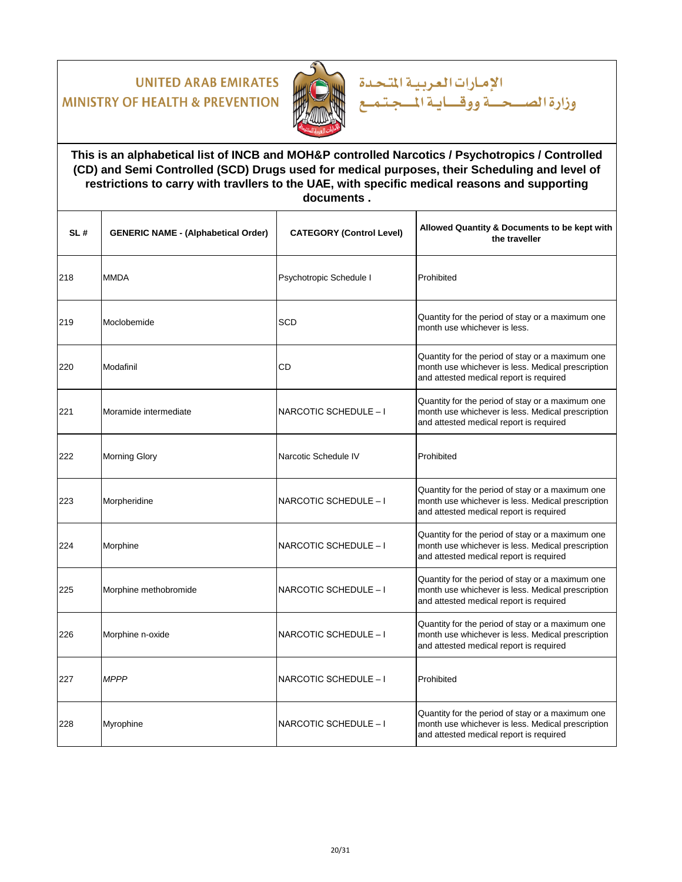

### **This is an alphabetical list of INCB and MOH&P controlled Narcotics / Psychotropics / Controlled (CD) and Semi Controlled (SCD) Drugs used for medical purposes, their Scheduling and level of restrictions to carry with travllers to the UAE, with specific medical reasons and supporting documents .**

الإمارات العربية المتحدة

| SL# | <b>GENERIC NAME - (Alphabetical Order)</b> | <b>CATEGORY (Control Level)</b> | Allowed Quantity & Documents to be kept with<br>the traveller                                                                                    |
|-----|--------------------------------------------|---------------------------------|--------------------------------------------------------------------------------------------------------------------------------------------------|
| 218 | <b>MMDA</b>                                | Psychotropic Schedule I         | Prohibited                                                                                                                                       |
| 219 | Moclobemide                                | <b>SCD</b>                      | Quantity for the period of stay or a maximum one<br>month use whichever is less.                                                                 |
| 220 | Modafinil                                  | CD                              | Quantity for the period of stay or a maximum one<br>month use whichever is less. Medical prescription<br>and attested medical report is required |
| 221 | Moramide intermediate                      | NARCOTIC SCHEDULE - I           | Quantity for the period of stay or a maximum one<br>month use whichever is less. Medical prescription<br>and attested medical report is required |
| 222 | <b>Morning Glory</b>                       | Narcotic Schedule IV            | Prohibited                                                                                                                                       |
| 223 | Morpheridine                               | NARCOTIC SCHEDULE - I           | Quantity for the period of stay or a maximum one<br>month use whichever is less. Medical prescription<br>and attested medical report is required |
| 224 | Morphine                                   | NARCOTIC SCHEDULE - I           | Quantity for the period of stay or a maximum one<br>month use whichever is less. Medical prescription<br>and attested medical report is required |
| 225 | Morphine methobromide                      | NARCOTIC SCHEDULE - I           | Quantity for the period of stay or a maximum one<br>month use whichever is less. Medical prescription<br>and attested medical report is required |
| 226 | Morphine n-oxide                           | NARCOTIC SCHEDULE - I           | Quantity for the period of stay or a maximum one<br>month use whichever is less. Medical prescription<br>and attested medical report is required |
| 227 | <b>MPPP</b>                                | NARCOTIC SCHEDULE - I           | Prohibited                                                                                                                                       |
| 228 | Myrophine                                  | NARCOTIC SCHEDULE - I           | Quantity for the period of stay or a maximum one<br>month use whichever is less. Medical prescription<br>and attested medical report is required |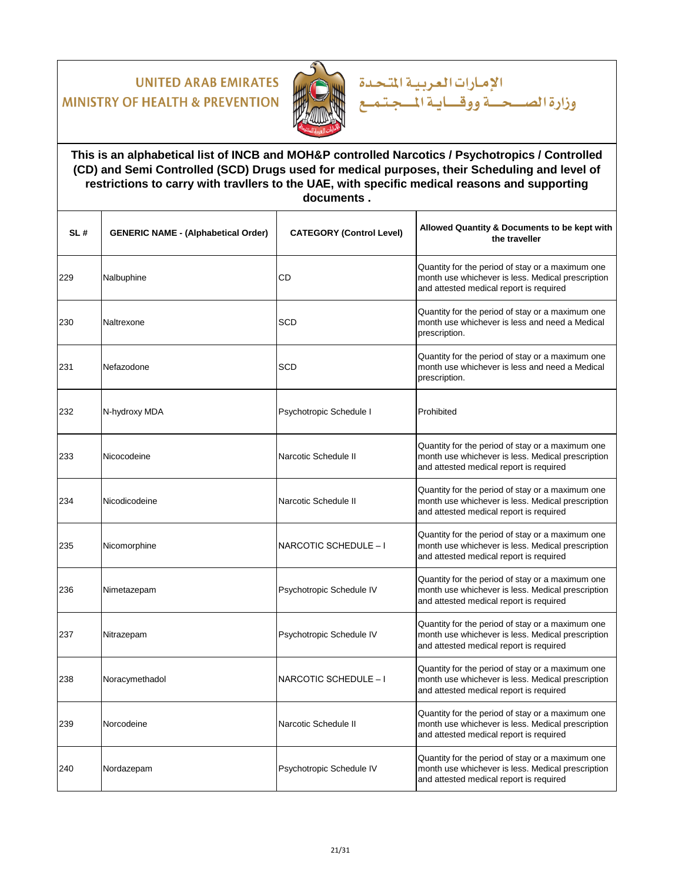

### **This is an alphabetical list of INCB and MOH&P controlled Narcotics / Psychotropics / Controlled (CD) and Semi Controlled (SCD) Drugs used for medical purposes, their Scheduling and level of restrictions to carry with travllers to the UAE, with specific medical reasons and supporting documents .**

الإمارات العربية المتحدة

| SL# | <b>GENERIC NAME - (Alphabetical Order)</b> | <b>CATEGORY (Control Level)</b> | Allowed Quantity & Documents to be kept with<br>the traveller                                                                                    |
|-----|--------------------------------------------|---------------------------------|--------------------------------------------------------------------------------------------------------------------------------------------------|
| 229 | Nalbuphine                                 | CD                              | Quantity for the period of stay or a maximum one<br>month use whichever is less. Medical prescription<br>and attested medical report is required |
| 230 | Naltrexone                                 | <b>SCD</b>                      | Quantity for the period of stay or a maximum one<br>month use whichever is less and need a Medical<br>prescription.                              |
| 231 | Nefazodone                                 | <b>SCD</b>                      | Quantity for the period of stay or a maximum one<br>month use whichever is less and need a Medical<br>prescription.                              |
| 232 | N-hydroxy MDA                              | Psychotropic Schedule I         | Prohibited                                                                                                                                       |
| 233 | Nicocodeine                                | Narcotic Schedule II            | Quantity for the period of stay or a maximum one<br>month use whichever is less. Medical prescription<br>and attested medical report is required |
| 234 | Nicodicodeine                              | Narcotic Schedule II            | Quantity for the period of stay or a maximum one<br>month use whichever is less. Medical prescription<br>and attested medical report is required |
| 235 | Nicomorphine                               | NARCOTIC SCHEDULE - I           | Quantity for the period of stay or a maximum one<br>month use whichever is less. Medical prescription<br>and attested medical report is required |
| 236 | Nimetazepam                                | Psychotropic Schedule IV        | Quantity for the period of stay or a maximum one<br>month use whichever is less. Medical prescription<br>and attested medical report is required |
| 237 | Nitrazepam                                 | Psychotropic Schedule IV        | Quantity for the period of stay or a maximum one<br>month use whichever is less. Medical prescription<br>and attested medical report is required |
| 238 | Noracymethadol                             | NARCOTIC SCHEDULE - I           | Quantity for the period of stay or a maximum one<br>month use whichever is less. Medical prescription<br>and attested medical report is required |
| 239 | Norcodeine                                 | Narcotic Schedule II            | Quantity for the period of stay or a maximum one<br>month use whichever is less. Medical prescription<br>and attested medical report is required |
| 240 | Nordazepam                                 | Psychotropic Schedule IV        | Quantity for the period of stay or a maximum one<br>month use whichever is less. Medical prescription<br>and attested medical report is required |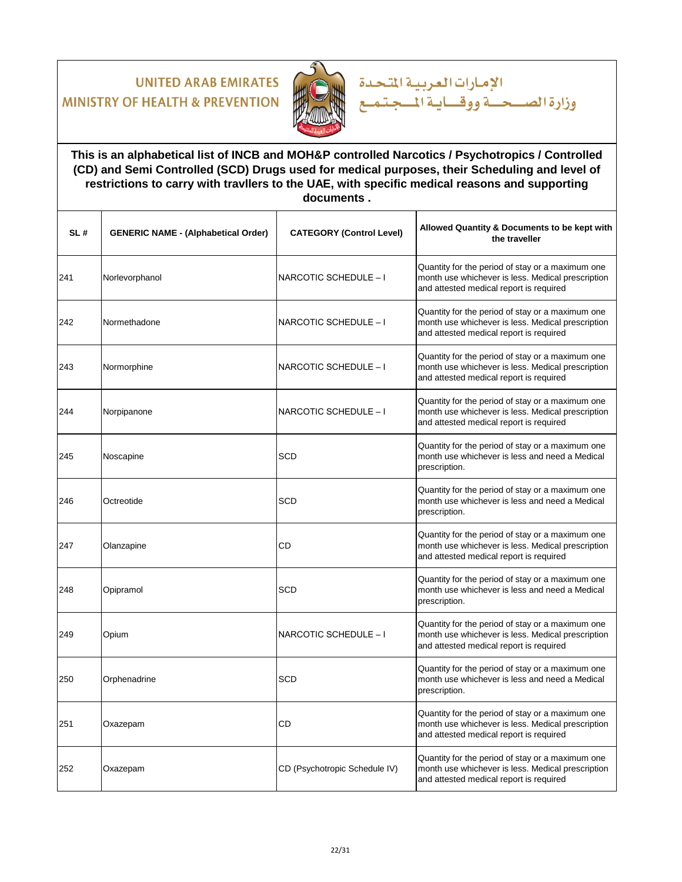

### **This is an alphabetical list of INCB and MOH&P controlled Narcotics / Psychotropics / Controlled (CD) and Semi Controlled (SCD) Drugs used for medical purposes, their Scheduling and level of restrictions to carry with travllers to the UAE, with specific medical reasons and supporting documents .**

الإمارات العربية المتحدة

| SL# | <b>GENERIC NAME - (Alphabetical Order)</b> | <b>CATEGORY (Control Level)</b> | Allowed Quantity & Documents to be kept with<br>the traveller                                                                                    |
|-----|--------------------------------------------|---------------------------------|--------------------------------------------------------------------------------------------------------------------------------------------------|
| 241 | Norlevorphanol                             | NARCOTIC SCHEDULE - I           | Quantity for the period of stay or a maximum one<br>month use whichever is less. Medical prescription<br>and attested medical report is required |
| 242 | Normethadone                               | NARCOTIC SCHEDULE - I           | Quantity for the period of stay or a maximum one<br>month use whichever is less. Medical prescription<br>and attested medical report is required |
| 243 | Normorphine                                | NARCOTIC SCHEDULE - I           | Quantity for the period of stay or a maximum one<br>month use whichever is less. Medical prescription<br>and attested medical report is required |
| 244 | Norpipanone                                | NARCOTIC SCHEDULE - I           | Quantity for the period of stay or a maximum one<br>month use whichever is less. Medical prescription<br>and attested medical report is required |
| 245 | Noscapine                                  | <b>SCD</b>                      | Quantity for the period of stay or a maximum one<br>month use whichever is less and need a Medical<br>prescription.                              |
| 246 | Octreotide                                 | <b>SCD</b>                      | Quantity for the period of stay or a maximum one<br>month use whichever is less and need a Medical<br>prescription.                              |
| 247 | Olanzapine                                 | CD                              | Quantity for the period of stay or a maximum one<br>month use whichever is less. Medical prescription<br>and attested medical report is required |
| 248 | Opipramol                                  | <b>SCD</b>                      | Quantity for the period of stay or a maximum one<br>month use whichever is less and need a Medical<br>prescription.                              |
| 249 | Opium                                      | NARCOTIC SCHEDULE - I           | Quantity for the period of stay or a maximum one<br>month use whichever is less. Medical prescription<br>and attested medical report is required |
| 250 | Orphenadrine                               | <b>SCD</b>                      | Quantity for the period of stay or a maximum one<br>month use whichever is less and need a Medical<br>prescription.                              |
| 251 | Oxazepam                                   | CD                              | Quantity for the period of stay or a maximum one<br>month use whichever is less. Medical prescription<br>and attested medical report is required |
| 252 | Oxazepam                                   | CD (Psychotropic Schedule IV)   | Quantity for the period of stay or a maximum one<br>month use whichever is less. Medical prescription<br>and attested medical report is required |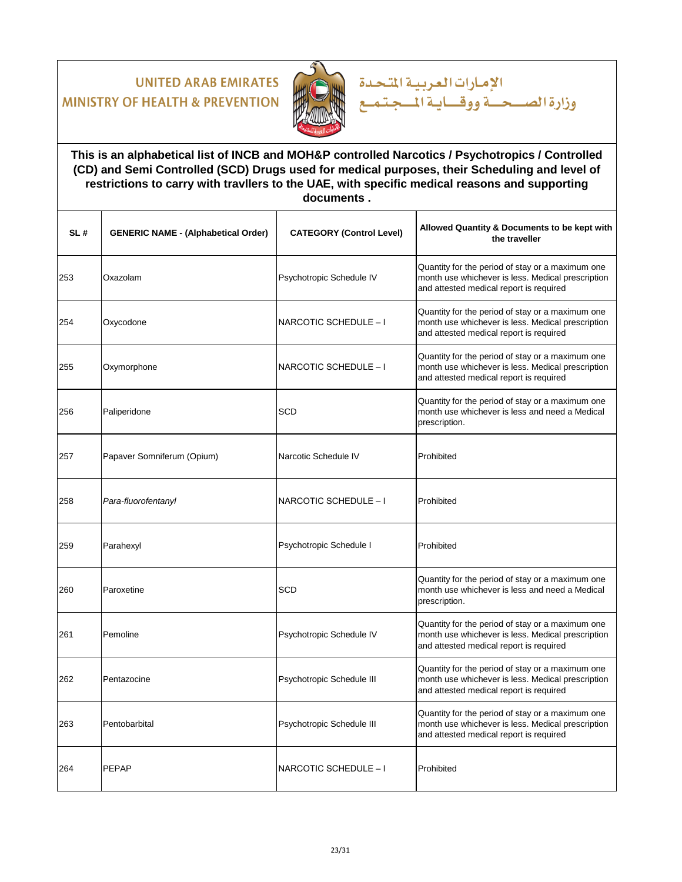

### **This is an alphabetical list of INCB and MOH&P controlled Narcotics / Psychotropics / Controlled (CD) and Semi Controlled (SCD) Drugs used for medical purposes, their Scheduling and level of restrictions to carry with travllers to the UAE, with specific medical reasons and supporting documents .**

الإمارات العربية المتحدة

| SL# | <b>GENERIC NAME - (Alphabetical Order)</b> | <b>CATEGORY (Control Level)</b> | Allowed Quantity & Documents to be kept with<br>the traveller                                                                                    |
|-----|--------------------------------------------|---------------------------------|--------------------------------------------------------------------------------------------------------------------------------------------------|
| 253 | Oxazolam                                   | Psychotropic Schedule IV        | Quantity for the period of stay or a maximum one<br>month use whichever is less. Medical prescription<br>and attested medical report is required |
| 254 | Oxycodone                                  | NARCOTIC SCHEDULE - I           | Quantity for the period of stay or a maximum one<br>month use whichever is less. Medical prescription<br>and attested medical report is required |
| 255 | Oxymorphone                                | NARCOTIC SCHEDULE - I           | Quantity for the period of stay or a maximum one<br>month use whichever is less. Medical prescription<br>and attested medical report is required |
| 256 | Paliperidone                               | SCD                             | Quantity for the period of stay or a maximum one<br>month use whichever is less and need a Medical<br>prescription.                              |
| 257 | Papaver Somniferum (Opium)                 | Narcotic Schedule IV            | Prohibited                                                                                                                                       |
| 258 | Para-fluorofentanyl                        | NARCOTIC SCHEDULE - I           | Prohibited                                                                                                                                       |
| 259 | Parahexyl                                  | Psychotropic Schedule I         | Prohibited                                                                                                                                       |
| 260 | Paroxetine                                 | <b>SCD</b>                      | Quantity for the period of stay or a maximum one<br>month use whichever is less and need a Medical<br>prescription.                              |
| 261 | Pemoline                                   | Psychotropic Schedule IV        | Quantity for the period of stay or a maximum one<br>month use whichever is less. Medical prescription<br>and attested medical report is required |
| 262 | Pentazocine                                | Psychotropic Schedule III       | Quantity for the period of stay or a maximum one<br>month use whichever is less. Medical prescription<br>and attested medical report is required |
| 263 | Pentobarbital                              | Psychotropic Schedule III       | Quantity for the period of stay or a maximum one<br>month use whichever is less. Medical prescription<br>and attested medical report is required |
| 264 | <b>PEPAP</b>                               | NARCOTIC SCHEDULE - I           | Prohibited                                                                                                                                       |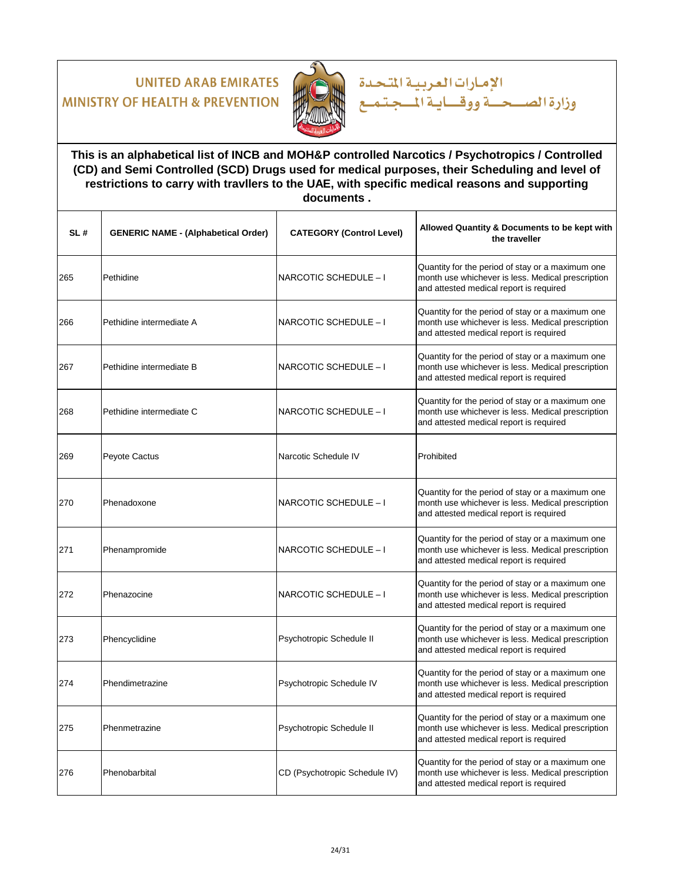

### **This is an alphabetical list of INCB and MOH&P controlled Narcotics / Psychotropics / Controlled (CD) and Semi Controlled (SCD) Drugs used for medical purposes, their Scheduling and level of restrictions to carry with travllers to the UAE, with specific medical reasons and supporting documents .**

الإمارات العربية المتحدة

| SL# | <b>GENERIC NAME - (Alphabetical Order)</b> | <b>CATEGORY (Control Level)</b> | Allowed Quantity & Documents to be kept with<br>the traveller                                                                                    |
|-----|--------------------------------------------|---------------------------------|--------------------------------------------------------------------------------------------------------------------------------------------------|
| 265 | Pethidine                                  | NARCOTIC SCHEDULE - I           | Quantity for the period of stay or a maximum one<br>month use whichever is less. Medical prescription<br>and attested medical report is required |
| 266 | Pethidine intermediate A                   | NARCOTIC SCHEDULE - I           | Quantity for the period of stay or a maximum one<br>month use whichever is less. Medical prescription<br>and attested medical report is required |
| 267 | Pethidine intermediate B                   | NARCOTIC SCHEDULE - I           | Quantity for the period of stay or a maximum one<br>month use whichever is less. Medical prescription<br>and attested medical report is required |
| 268 | Pethidine intermediate C                   | NARCOTIC SCHEDULE - I           | Quantity for the period of stay or a maximum one<br>month use whichever is less. Medical prescription<br>and attested medical report is required |
| 269 | Peyote Cactus                              | Narcotic Schedule IV            | Prohibited                                                                                                                                       |
| 270 | Phenadoxone                                | NARCOTIC SCHEDULE - I           | Quantity for the period of stay or a maximum one<br>month use whichever is less. Medical prescription<br>and attested medical report is required |
| 271 | Phenampromide                              | NARCOTIC SCHEDULE - I           | Quantity for the period of stay or a maximum one<br>month use whichever is less. Medical prescription<br>and attested medical report is required |
| 272 | Phenazocine                                | NARCOTIC SCHEDULE - I           | Quantity for the period of stay or a maximum one<br>month use whichever is less. Medical prescription<br>and attested medical report is required |
| 273 | Phencyclidine                              | Psychotropic Schedule II        | Quantity for the period of stay or a maximum one<br>month use whichever is less. Medical prescription<br>and attested medical report is required |
| 274 | Phendimetrazine                            | Psychotropic Schedule IV        | Quantity for the period of stay or a maximum one<br>month use whichever is less. Medical prescription<br>and attested medical report is required |
| 275 | Phenmetrazine                              | Psychotropic Schedule II        | Quantity for the period of stay or a maximum one<br>month use whichever is less. Medical prescription<br>and attested medical report is required |
| 276 | Phenobarbital                              | CD (Psychotropic Schedule IV)   | Quantity for the period of stay or a maximum one<br>month use whichever is less. Medical prescription<br>and attested medical report is required |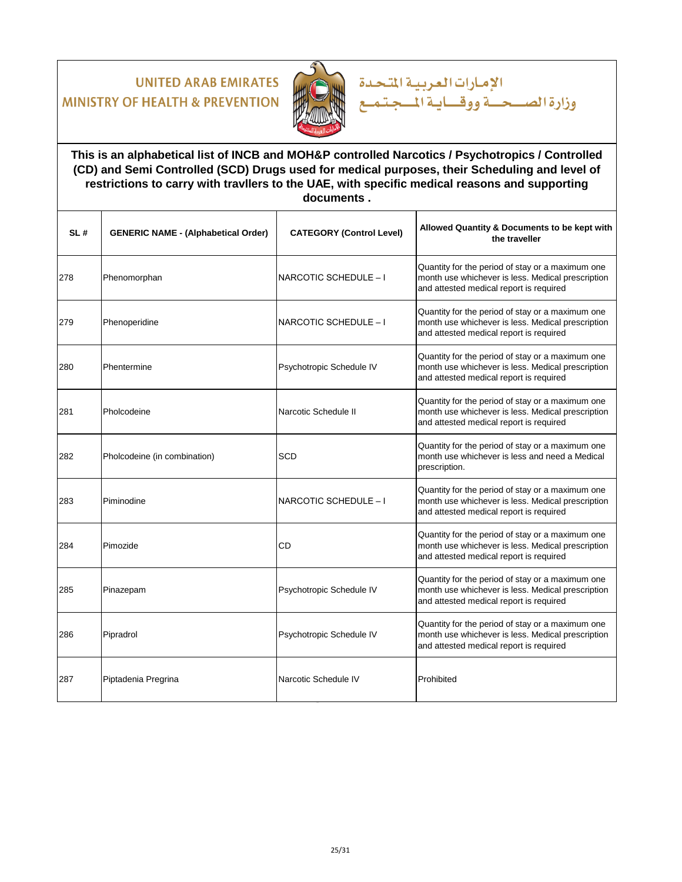

### **This is an alphabetical list of INCB and MOH&P controlled Narcotics / Psychotropics / Controlled (CD) and Semi Controlled (SCD) Drugs used for medical purposes, their Scheduling and level of restrictions to carry with travllers to the UAE, with specific medical reasons and supporting documents .**

الإمارات العربية المتحدة

| SL# | <b>GENERIC NAME - (Alphabetical Order)</b> | <b>CATEGORY (Control Level)</b> | Allowed Quantity & Documents to be kept with<br>the traveller                                                                                    |
|-----|--------------------------------------------|---------------------------------|--------------------------------------------------------------------------------------------------------------------------------------------------|
| 278 | Phenomorphan                               | NARCOTIC SCHEDULE - I           | Quantity for the period of stay or a maximum one<br>month use whichever is less. Medical prescription<br>and attested medical report is required |
| 279 | Phenoperidine                              | NARCOTIC SCHEDULE - I           | Quantity for the period of stay or a maximum one<br>month use whichever is less. Medical prescription<br>and attested medical report is required |
| 280 | Phentermine                                | Psychotropic Schedule IV        | Quantity for the period of stay or a maximum one<br>month use whichever is less. Medical prescription<br>and attested medical report is required |
| 281 | Pholcodeine                                | Narcotic Schedule II            | Quantity for the period of stay or a maximum one<br>month use whichever is less. Medical prescription<br>and attested medical report is required |
| 282 | Pholcodeine (in combination)               | SCD                             | Quantity for the period of stay or a maximum one<br>month use whichever is less and need a Medical<br>prescription.                              |
| 283 | Piminodine                                 | NARCOTIC SCHEDULE - I           | Quantity for the period of stay or a maximum one<br>month use whichever is less. Medical prescription<br>and attested medical report is required |
| 284 | Pimozide                                   | CD                              | Quantity for the period of stay or a maximum one<br>month use whichever is less. Medical prescription<br>and attested medical report is required |
| 285 | Pinazepam                                  | Psychotropic Schedule IV        | Quantity for the period of stay or a maximum one<br>month use whichever is less. Medical prescription<br>and attested medical report is required |
| 286 | Pipradrol                                  | Psychotropic Schedule IV        | Quantity for the period of stay or a maximum one<br>month use whichever is less. Medical prescription<br>and attested medical report is required |
| 287 | Piptadenia Pregrina                        | Narcotic Schedule IV            | Prohibited                                                                                                                                       |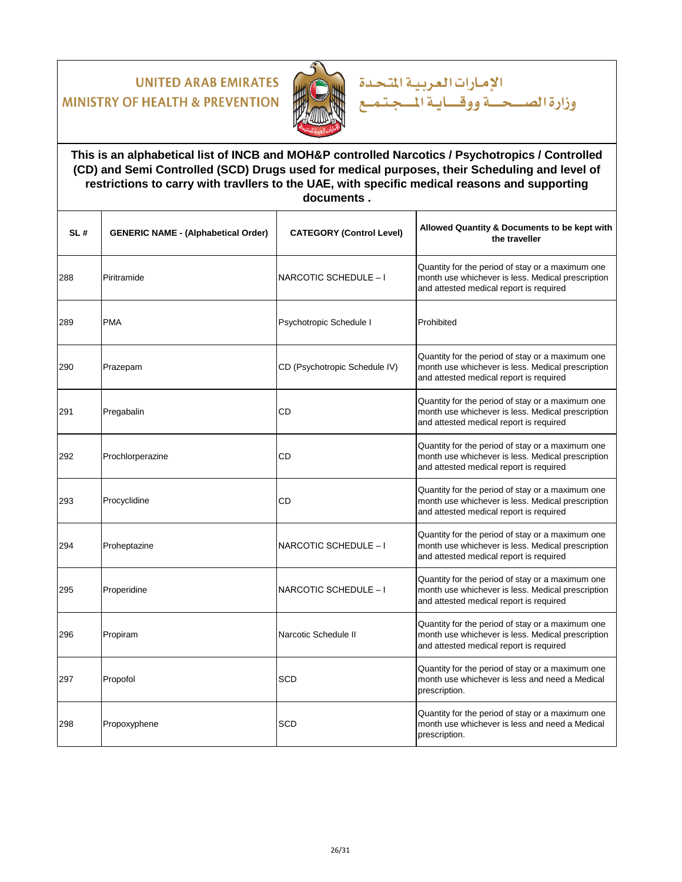

### **This is an alphabetical list of INCB and MOH&P controlled Narcotics / Psychotropics / Controlled (CD) and Semi Controlled (SCD) Drugs used for medical purposes, their Scheduling and level of restrictions to carry with travllers to the UAE, with specific medical reasons and supporting documents .**

الإمارات العربية المتحدة

| SL# | <b>GENERIC NAME - (Alphabetical Order)</b> | <b>CATEGORY (Control Level)</b> | Allowed Quantity & Documents to be kept with<br>the traveller                                                                                    |
|-----|--------------------------------------------|---------------------------------|--------------------------------------------------------------------------------------------------------------------------------------------------|
| 288 | Piritramide                                | NARCOTIC SCHEDULE - I           | Quantity for the period of stay or a maximum one<br>month use whichever is less. Medical prescription<br>and attested medical report is required |
| 289 | <b>PMA</b>                                 | Psychotropic Schedule I         | Prohibited                                                                                                                                       |
| 290 | Prazepam                                   | CD (Psychotropic Schedule IV)   | Quantity for the period of stay or a maximum one<br>month use whichever is less. Medical prescription<br>and attested medical report is required |
| 291 | Pregabalin                                 | CD                              | Quantity for the period of stay or a maximum one<br>month use whichever is less. Medical prescription<br>and attested medical report is required |
| 292 | Prochlorperazine                           | CD                              | Quantity for the period of stay or a maximum one<br>month use whichever is less. Medical prescription<br>and attested medical report is required |
| 293 | Procyclidine                               | <b>CD</b>                       | Quantity for the period of stay or a maximum one<br>month use whichever is less. Medical prescription<br>and attested medical report is required |
| 294 | Proheptazine                               | NARCOTIC SCHEDULE - I           | Quantity for the period of stay or a maximum one<br>month use whichever is less. Medical prescription<br>and attested medical report is required |
| 295 | Properidine                                | NARCOTIC SCHEDULE - I           | Quantity for the period of stay or a maximum one<br>month use whichever is less. Medical prescription<br>and attested medical report is required |
| 296 | Propiram                                   | Narcotic Schedule II            | Quantity for the period of stay or a maximum one<br>month use whichever is less. Medical prescription<br>and attested medical report is required |
| 297 | Propofol                                   | <b>SCD</b>                      | Quantity for the period of stay or a maximum one<br>month use whichever is less and need a Medical<br>prescription.                              |
| 298 | Propoxyphene                               | <b>SCD</b>                      | Quantity for the period of stay or a maximum one<br>month use whichever is less and need a Medical<br>prescription.                              |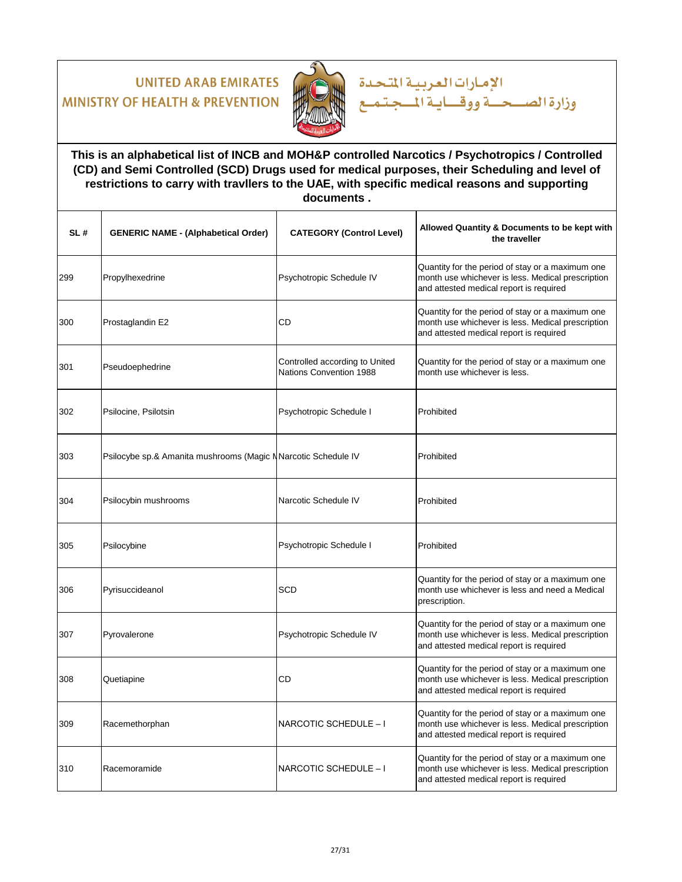

### **This is an alphabetical list of INCB and MOH&P controlled Narcotics / Psychotropics / Controlled (CD) and Semi Controlled (SCD) Drugs used for medical purposes, their Scheduling and level of restrictions to carry with travllers to the UAE, with specific medical reasons and supporting documents .**

الإمارات العربية المتحدة

| SL# | <b>GENERIC NAME - (Alphabetical Order)</b>                     | <b>CATEGORY (Control Level)</b>                           | Allowed Quantity & Documents to be kept with<br>the traveller                                                                                    |
|-----|----------------------------------------------------------------|-----------------------------------------------------------|--------------------------------------------------------------------------------------------------------------------------------------------------|
| 299 | Propylhexedrine                                                | Psychotropic Schedule IV                                  | Quantity for the period of stay or a maximum one<br>month use whichever is less. Medical prescription<br>and attested medical report is required |
| 300 | Prostaglandin E2                                               | CD                                                        | Quantity for the period of stay or a maximum one<br>month use whichever is less. Medical prescription<br>and attested medical report is required |
| 301 | Pseudoephedrine                                                | Controlled according to United<br>Nations Convention 1988 | Quantity for the period of stay or a maximum one<br>month use whichever is less.                                                                 |
| 302 | Psilocine, Psilotsin                                           | Psychotropic Schedule I                                   | Prohibited                                                                                                                                       |
| 303 | Psilocybe sp.& Amanita mushrooms (Magic N Narcotic Schedule IV |                                                           | Prohibited                                                                                                                                       |
| 304 | Psilocybin mushrooms                                           | Narcotic Schedule IV                                      | Prohibited                                                                                                                                       |
| 305 | Psilocybine                                                    | Psychotropic Schedule I                                   | Prohibited                                                                                                                                       |
| 306 | Pyrisuccideanol                                                | SCD                                                       | Quantity for the period of stay or a maximum one<br>month use whichever is less and need a Medical<br>prescription.                              |
| 307 | Pyrovalerone                                                   | Psychotropic Schedule IV                                  | Quantity for the period of stay or a maximum one<br>month use whichever is less. Medical prescription<br>and attested medical report is required |
| 308 | Quetiapine                                                     | CD                                                        | Quantity for the period of stay or a maximum one<br>month use whichever is less. Medical prescription<br>and attested medical report is required |
| 309 | Racemethorphan                                                 | NARCOTIC SCHEDULE - I                                     | Quantity for the period of stay or a maximum one<br>month use whichever is less. Medical prescription<br>and attested medical report is required |
| 310 | Racemoramide                                                   | NARCOTIC SCHEDULE - I                                     | Quantity for the period of stay or a maximum one<br>month use whichever is less. Medical prescription<br>and attested medical report is required |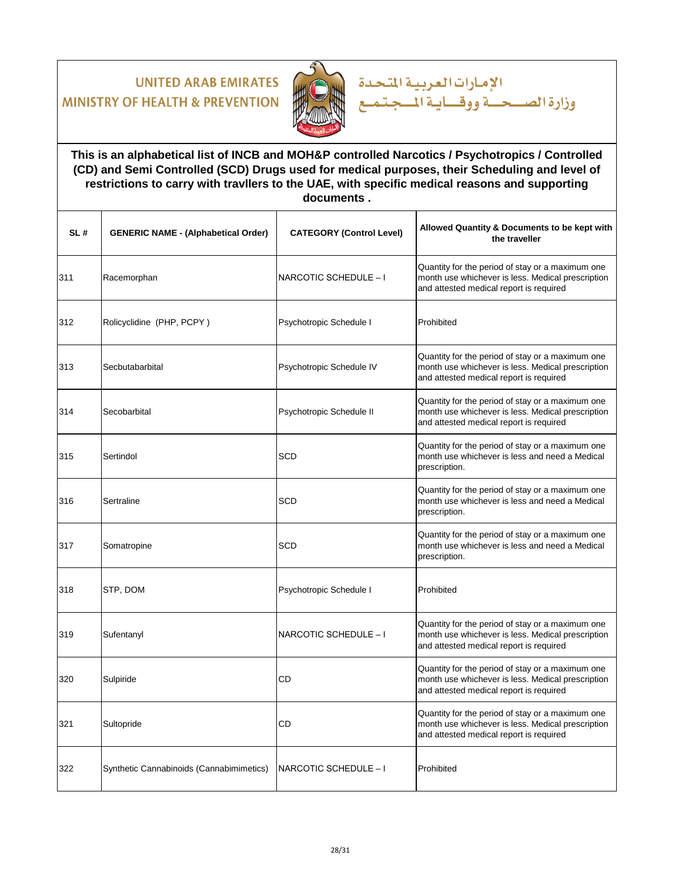

**This is an alphabetical list of INCB and MOH&P controlled Narcotics / Psychotropics / Controlled (CD) and Semi Controlled (SCD) Drugs used for medical purposes, their Scheduling and level of restrictions to carry with travllers to the UAE, with specific medical reasons and supporting documents .**

الإمارات العربية المتحدة

| SL# | <b>GENERIC NAME - (Alphabetical Order)</b> | <b>CATEGORY (Control Level)</b> | Allowed Quantity & Documents to be kept with<br>the traveller                                                                                    |
|-----|--------------------------------------------|---------------------------------|--------------------------------------------------------------------------------------------------------------------------------------------------|
| 311 | Racemorphan                                | NARCOTIC SCHEDULE - I           | Quantity for the period of stay or a maximum one<br>month use whichever is less. Medical prescription<br>and attested medical report is required |
| 312 | Rolicyclidine (PHP, PCPY)                  | Psychotropic Schedule I         | Prohibited                                                                                                                                       |
| 313 | Secbutabarbital                            | Psychotropic Schedule IV        | Quantity for the period of stay or a maximum one<br>month use whichever is less. Medical prescription<br>and attested medical report is required |
| 314 | Secobarbital                               | Psychotropic Schedule II        | Quantity for the period of stay or a maximum one<br>month use whichever is less. Medical prescription<br>and attested medical report is required |
| 315 | Sertindol                                  | <b>SCD</b>                      | Quantity for the period of stay or a maximum one<br>month use whichever is less and need a Medical<br>prescription.                              |
| 316 | Sertraline                                 | <b>SCD</b>                      | Quantity for the period of stay or a maximum one<br>month use whichever is less and need a Medical<br>prescription.                              |
| 317 | Somatropine                                | <b>SCD</b>                      | Quantity for the period of stay or a maximum one<br>month use whichever is less and need a Medical<br>prescription.                              |
| 318 | STP, DOM                                   | Psychotropic Schedule I         | Prohibited                                                                                                                                       |
| 319 | Sufentanyl                                 | NARCOTIC SCHEDULE - I           | Quantity for the period of stay or a maximum one<br>month use whichever is less. Medical prescription<br>and attested medical report is required |
| 320 | Sulpiride                                  | CD                              | Quantity for the period of stay or a maximum one<br>month use whichever is less. Medical prescription<br>and attested medical report is required |
| 321 | Sultopride                                 | CD                              | Quantity for the period of stay or a maximum one<br>month use whichever is less. Medical prescription<br>and attested medical report is required |
| 322 | Synthetic Cannabinoids (Cannabimimetics)   | NARCOTIC SCHEDULE - I           | Prohibited                                                                                                                                       |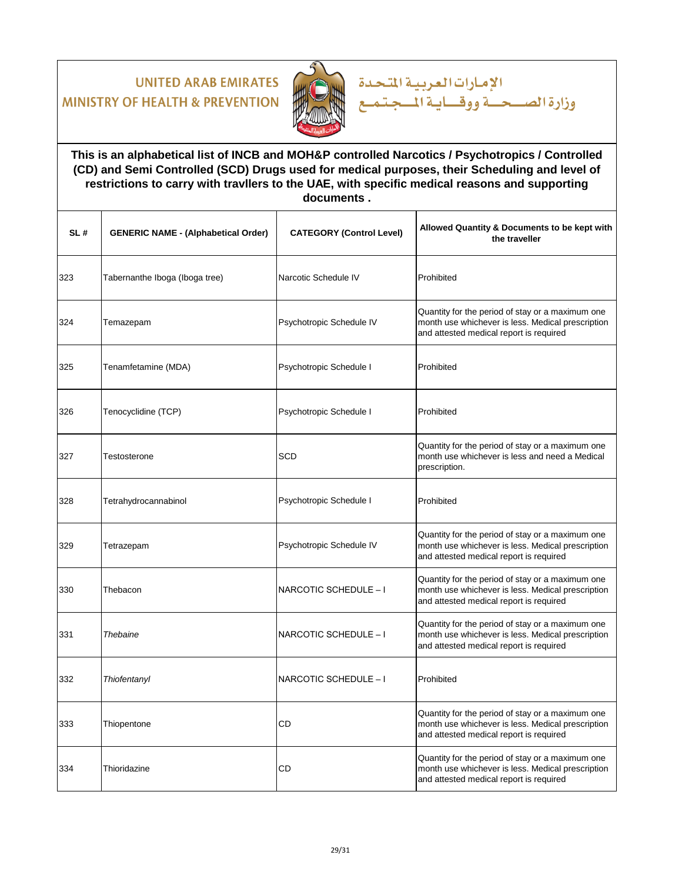

**This is an alphabetical list of INCB and MOH&P controlled Narcotics / Psychotropics / Controlled (CD) and Semi Controlled (SCD) Drugs used for medical purposes, their Scheduling and level of restrictions to carry with travllers to the UAE, with specific medical reasons and supporting documents .**

الإمارات العربية المتحدة

| SL# | <b>GENERIC NAME - (Alphabetical Order)</b> | <b>CATEGORY (Control Level)</b> | Allowed Quantity & Documents to be kept with<br>the traveller                                                                                    |
|-----|--------------------------------------------|---------------------------------|--------------------------------------------------------------------------------------------------------------------------------------------------|
| 323 | Tabernanthe Iboga (Iboga tree)             | Narcotic Schedule IV            | Prohibited                                                                                                                                       |
| 324 | Temazepam                                  | Psychotropic Schedule IV        | Quantity for the period of stay or a maximum one<br>month use whichever is less. Medical prescription<br>and attested medical report is required |
| 325 | Tenamfetamine (MDA)                        | Psychotropic Schedule I         | Prohibited                                                                                                                                       |
| 326 | Tenocyclidine (TCP)                        | Psychotropic Schedule I         | Prohibited                                                                                                                                       |
| 327 | Testosterone                               | <b>SCD</b>                      | Quantity for the period of stay or a maximum one<br>month use whichever is less and need a Medical<br>prescription.                              |
| 328 | Tetrahydrocannabinol                       | Psychotropic Schedule I         | Prohibited                                                                                                                                       |
| 329 | Tetrazepam                                 | Psychotropic Schedule IV        | Quantity for the period of stay or a maximum one<br>month use whichever is less. Medical prescription<br>and attested medical report is required |
| 330 | Thebacon                                   | NARCOTIC SCHEDULE - I           | Quantity for the period of stay or a maximum one<br>month use whichever is less. Medical prescription<br>and attested medical report is required |
| 331 | Thebaine                                   | NARCOTIC SCHEDULE - I           | Quantity for the period of stay or a maximum one<br>month use whichever is less. Medical prescription<br>and attested medical report is required |
| 332 | Thiofentanyl                               | NARCOTIC SCHEDULE - I           | Prohibited                                                                                                                                       |
| 333 | Thiopentone                                | CD                              | Quantity for the period of stay or a maximum one<br>month use whichever is less. Medical prescription<br>and attested medical report is required |
| 334 | Thioridazine                               | CD                              | Quantity for the period of stay or a maximum one<br>month use whichever is less. Medical prescription<br>and attested medical report is required |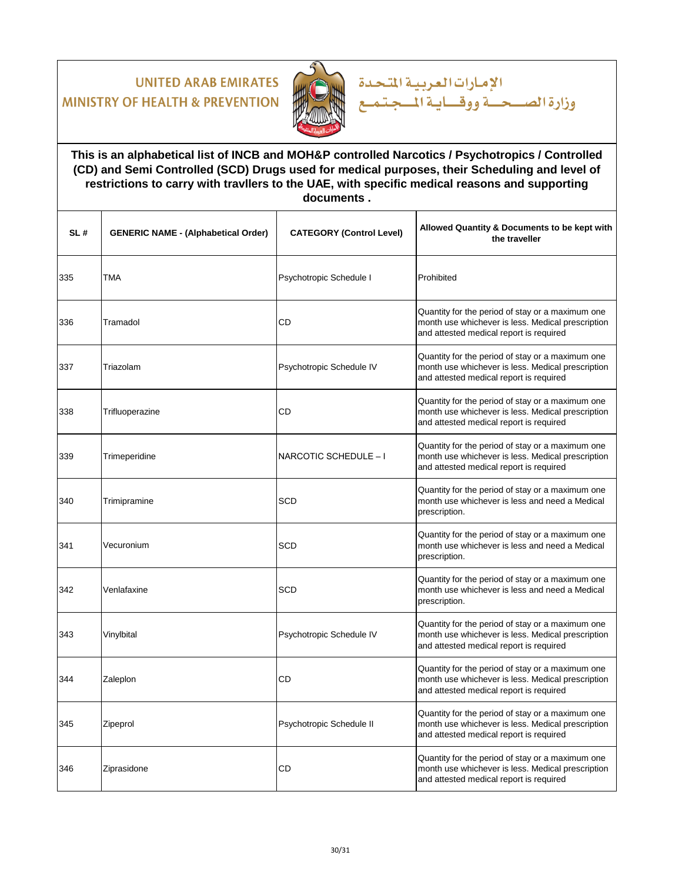

**This is an alphabetical list of INCB and MOH&P controlled Narcotics / Psychotropics / Controlled (CD) and Semi Controlled (SCD) Drugs used for medical purposes, their Scheduling and level of restrictions to carry with travllers to the UAE, with specific medical reasons and supporting documents .**

الإمارات العربية المتحدة

| SL# | <b>GENERIC NAME - (Alphabetical Order)</b> | <b>CATEGORY (Control Level)</b> | Allowed Quantity & Documents to be kept with<br>the traveller                                                                                    |
|-----|--------------------------------------------|---------------------------------|--------------------------------------------------------------------------------------------------------------------------------------------------|
| 335 | TMA                                        | Psychotropic Schedule I         | Prohibited                                                                                                                                       |
| 336 | Tramadol                                   | <b>CD</b>                       | Quantity for the period of stay or a maximum one<br>month use whichever is less. Medical prescription<br>and attested medical report is required |
| 337 | Triazolam                                  | Psychotropic Schedule IV        | Quantity for the period of stay or a maximum one<br>month use whichever is less. Medical prescription<br>and attested medical report is required |
| 338 | Trifluoperazine                            | CD                              | Quantity for the period of stay or a maximum one<br>month use whichever is less. Medical prescription<br>and attested medical report is required |
| 339 | Trimeperidine                              | NARCOTIC SCHEDULE - I           | Quantity for the period of stay or a maximum one<br>month use whichever is less. Medical prescription<br>and attested medical report is required |
| 340 | Trimipramine                               | <b>SCD</b>                      | Quantity for the period of stay or a maximum one<br>month use whichever is less and need a Medical<br>prescription.                              |
| 341 | Vecuronium                                 | <b>SCD</b>                      | Quantity for the period of stay or a maximum one<br>month use whichever is less and need a Medical<br>prescription.                              |
| 342 | Venlafaxine                                | <b>SCD</b>                      | Quantity for the period of stay or a maximum one<br>month use whichever is less and need a Medical<br>prescription.                              |
| 343 | Vinylbital                                 | Psychotropic Schedule IV        | Quantity for the period of stay or a maximum one<br>month use whichever is less. Medical prescription<br>and attested medical report is required |
| 344 | Zaleplon                                   | <b>CD</b>                       | Quantity for the period of stay or a maximum one<br>month use whichever is less. Medical prescription<br>and attested medical report is required |
| 345 | Zipeprol                                   | Psychotropic Schedule II        | Quantity for the period of stay or a maximum one<br>month use whichever is less. Medical prescription<br>and attested medical report is required |
| 346 | Ziprasidone                                | CD                              | Quantity for the period of stay or a maximum one<br>month use whichever is less. Medical prescription<br>and attested medical report is required |